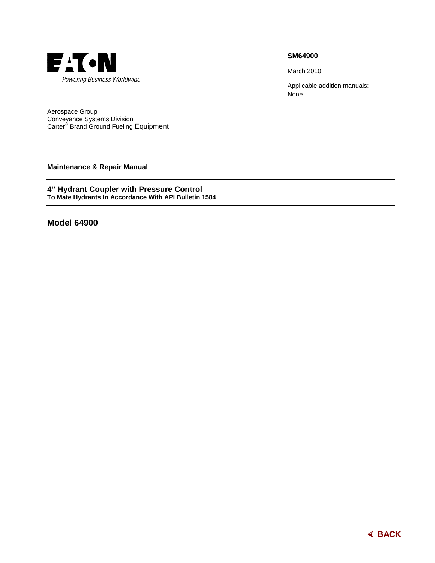

## **SM64900**

March 2010

Applicable addition manuals: None

Aerospace Group Conveyance Systems Division Carter® Brand Ground Fueling Equipment

**Maintenance & Repair Manual** 

**4" Hydrant Coupler with Pressure Control To Mate Hydrants In Accordance With API Bulletin 1584** 

**Model 64900** 

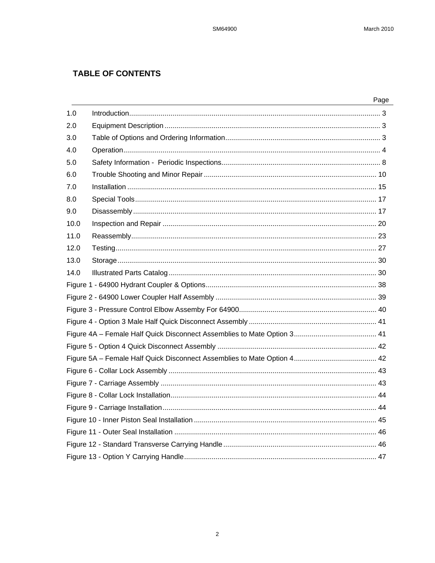# **TABLE OF CONTENTS**

|      | Page |
|------|------|
| 1.0  |      |
| 2.0  |      |
| 3.0  |      |
| 4.0  |      |
| 5.0  |      |
| 6.0  |      |
| 7.0  |      |
| 8.0  |      |
| 9.0  |      |
| 10.0 |      |
| 11.0 |      |
| 12.0 |      |
| 13.0 |      |
| 14.0 |      |
|      |      |
|      |      |
|      |      |
|      |      |
|      |      |
|      |      |
|      |      |
|      |      |
|      |      |
|      |      |
|      |      |
|      |      |
|      |      |
|      |      |
|      |      |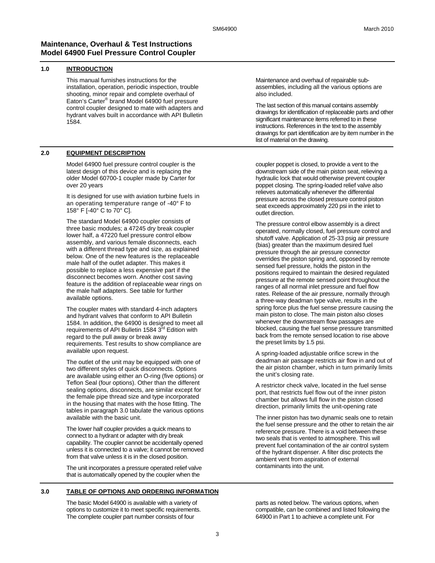## **Maintenance, Overhaul & Test Instructions Model 64900 Fuel Pressure Control Coupler**

## **1.0 INTRODUCTION**

This manual furnishes instructions for the installation, operation, periodic inspection, trouble shooting, minor repair and complete overhaul of Eaton's Carter® brand Model 64900 fuel pressure control coupler designed to mate with adapters and hydrant valves built in accordance with API Bulletin 1584.

## **2.0 EQUIPMENT DESCRIPTION**

Model 64900 fuel pressure control coupler is the latest design of this device and is replacing the older Model 60700-1 coupler made by Carter for over 20 years

It is designed for use with aviation turbine fuels in an operating temperature range of -40° F to 158° F [-40° C to 70° C].

The standard Model 64900 coupler consists of three basic modules; a 47245 dry break coupler lower half, a 47220 fuel pressure control elbow assembly, and various female disconnects, each with a different thread type and size, as explained below. One of the new features is the replaceable male half of the outlet adapter. This makes it possible to replace a less expensive part if the disconnect becomes worn. Another cost saving feature is the addition of replaceable wear rings on the male half adapters. See table for further available options.

The coupler mates with standard 4-inch adapters and hydrant valves that conform to API Bulletin 1584. In addition, the 64900 is designed to meet all requirements of API Bulletin 1584  $3^{\text{rd}}$  Edition with regard to the pull away or break away requirements. Test results to show compliance are available upon request.

The outlet of the unit may be equipped with one of two different styles of quick disconnects. Options are available using either an O-ring (five options) or Teflon Seal (four options). Other than the different sealing options, disconnects, are similar except for the female pipe thread size and type incorporated in the housing that mates with the hose fitting. The tables in paragraph 3.0 tabulate the various options available with the basic unit.

The lower half coupler provides a quick means to connect to a hydrant or adapter with dry break capability. The coupler cannot be accidentally opened unless it is connected to a valve; it cannot be removed from that valve unless it is in the closed position.

The unit incorporates a pressure operated relief valve that is automatically opened by the coupler when the

#### **3.0 TABLE OF OPTIONS AND ORDERING INFORMATION**

The basic Model 64900 is available with a variety of options to customize it to meet specific requirements. The complete coupler part number consists of four

Maintenance and overhaul of repairable subassemblies, including all the various options are also included.

The last section of this manual contains assembly drawings for identification of replaceable parts and other significant maintenance items referred to in these instructions. References in the text to the assembly drawings for part identification are by item number in the list of material on the drawing.

coupler poppet is closed, to provide a vent to the downstream side of the main piston seat, relieving a hydraulic lock that would otherwise prevent coupler poppet closing. The spring-loaded relief valve also relieves automatically whenever the differential pressure across the closed pressure control piston seat exceeds approximately 220 psi in the inlet to outlet direction.

The pressure control elbow assembly is a direct operated, normally closed, fuel pressure control and shutoff valve. Application of 25-33 psig air pressure (bias) greater than the maximum desired fuel pressure through the air pressure connector overrides the piston spring and, opposed by remote sensed fuel pressure, holds the piston in the positions required to maintain the desired regulated pressure at the remote sensed point throughout the ranges of all normal inlet pressure and fuel flow rates. Release of the air pressure, normally through a three-way deadman type valve, results in the spring force plus the fuel sense pressure causing the main piston to close. The main piston also closes whenever the downstream flow passages are blocked, causing the fuel sense pressure transmitted back from the remote sensed location to rise above the preset limits by 1.5 psi.

A spring-loaded adjustable orifice screw in the deadman air passage restricts air flow in and out of the air piston chamber, which in turn primarily limits the unit's closing rate.

A restrictor check valve, located in the fuel sense port, that restricts fuel flow out of the inner piston chamber but allows full flow in the piston closed direction, primarily limits the unit-opening rate

The inner piston has two dynamic seals one to retain the fuel sense pressure and the other to retain the air reference pressure. There is a void between these two seals that is vented to atmosphere. This will prevent fuel contamination of the air control system of the hydrant dispenser. A filter disc protects the ambient vent from aspiration of external contaminants into the unit.

parts as noted below. The various options, when compatible, can be combined and listed following the 64900 in Part 1 to achieve a complete unit. For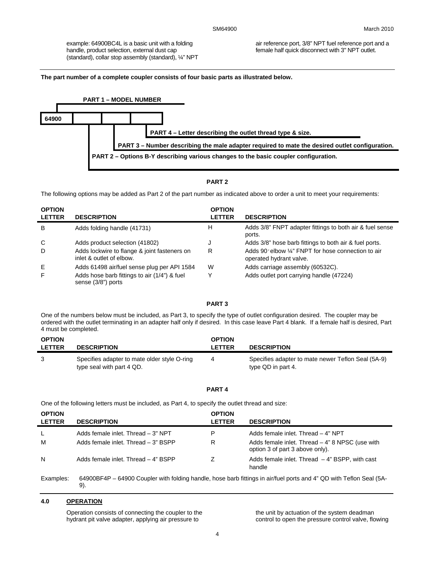example: 64900BC4L is a basic unit with a folding handle, product selection, external dust cap (standard), collar stop assembly (standard), ¼" NPT air reference port, 3/8" NPT fuel reference port and a female half quick disconnect with 3" NPT outlet.

**The part number of a complete coupler consists of four basic parts as illustrated below.** 



#### **PART 2**

The following options may be added as Part 2 of the part number as indicated above to order a unit to meet your requirements:

| <b>OPTION</b><br><b>LETTER</b> | <b>DESCRIPTION</b>                                                       | <b>OPTION</b><br><b>LETTER</b> | <b>DESCRIPTION</b>                                                             |
|--------------------------------|--------------------------------------------------------------------------|--------------------------------|--------------------------------------------------------------------------------|
| B                              | Adds folding handle (41731)                                              | н                              | Adds 3/8" FNPT adapter fittings to both air & fuel sense<br>ports.             |
| C                              | Adds product selection (41802)                                           |                                | Adds 3/8" hose barb fittings to both air & fuel ports.                         |
| D                              | Adds lockwire to flange & joint fasteners on<br>inlet & outlet of elbow. | R                              | Adds 90° elbow 1/4" FNPT for hose connection to air<br>operated hydrant valve. |
| Ε                              | Adds 61498 air/fuel sense plug per API 1584                              | W                              | Adds carriage assembly (60532C).                                               |
| F                              | Adds hose barb fittings to air (1/4") & fuel<br>sense (3/8") ports       |                                | Adds outlet port carrying handle (47224)                                       |

#### **PART 3**

One of the numbers below must be included, as Part 3, to specify the type of outlet configuration desired. The coupler may be ordered with the outlet terminating in an adapter half only if desired. In this case leave Part 4 blank. If a female half is desired, Part 4 must be completed.

| <b>OPTION</b><br><b>LETTER</b> | <b>DESCRIPTION</b>                                                        | <b>OPTION</b><br>LETTER | <b>DESCRIPTION</b>                                                       |
|--------------------------------|---------------------------------------------------------------------------|-------------------------|--------------------------------------------------------------------------|
| -3                             | Specifies adapter to mate older style O-ring<br>type seal with part 4 QD. |                         | Specifies adapter to mate newer Teflon Seal (5A-9)<br>type QD in part 4. |

#### **PART 4**

One of the following letters must be included, as Part 4, to specify the outlet thread and size:

| <b>OPTION</b><br><b>LETTER</b> | <b>DESCRIPTION</b>                  | <b>OPTION</b><br><b>LETTER</b> | <b>DESCRIPTION</b>                                                                   |
|--------------------------------|-------------------------------------|--------------------------------|--------------------------------------------------------------------------------------|
|                                | Adds female inlet. Thread - 3" NPT  | P                              | Adds female inlet. Thread - 4" NPT                                                   |
| м                              | Adds female inlet. Thread - 3" BSPP | R                              | Adds female inlet. Thread $-4$ " 8 NPSC (use with<br>option 3 of part 3 above only). |
| N                              | Adds female inlet. Thread - 4" BSPP |                                | Adds female inlet. Thread $-4$ " BSPP, with cast<br>handle                           |

Examples: 64900BF4P – 64900 Coupler with folding handle, hose barb fittings in air/fuel ports and 4" QD with Teflon Seal (5A-9).

## **4.0 OPERATION**

Operation consists of connecting the coupler to the hydrant pit valve adapter, applying air pressure to

the unit by actuation of the system deadman control to open the pressure control valve, flowing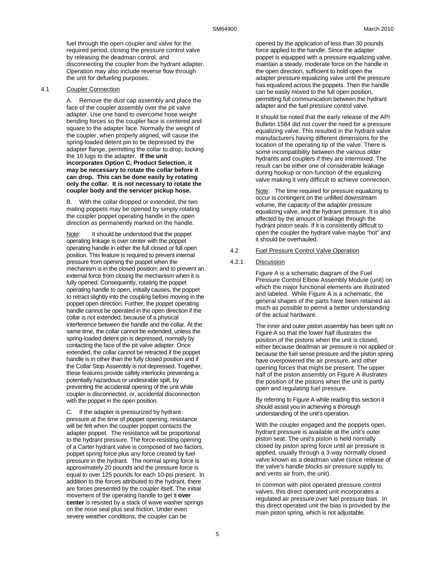fuel through the open coupler and valve for the required period, closing the pressure control valve by releasing the deadman control, and disconnecting the coupler from the hydrant adapter. Operation may also include reverse flow through the unit for defueling purposes.

#### 4.1 Coupler Connection

A. Remove the dust cap assembly and place the face of the coupler assembly over the pit valve adapter. Use one hand to overcome hose weight bending forces so the coupler face is centered and square to the adapter face. Normally the weight of the coupler, when properly aligned, will cause the spring-loaded detent pin to be depressed by the adapter flange, permitting the collar to drop, locking the 16 lugs to the adapter. **If the unit incorporates Option C, Product Selection, it may be necessary to rotate the collar before it can drop. This can be done easily by rotating only the collar. It is not necessary to rotate the coupler body and the servicer pickup hose.**

B. With the collar dropped or extended, the two mating poppets may be opened by simply rotating the coupler poppet operating handle in the open direction as permanently marked on the handle.

Note: It should be understood that the poppet operating linkage is over center with the poppet operating handle in either the full closed or full open position. This feature is required to prevent internal pressure from opening the poppet when the mechanism is in the closed position; and to prevent an external force from closing the mechanism when it is fully opened. Consequently, rotating the poppet operating handle to open, initially causes, the poppet to retract slightly into the coupling before moving in the poppet open direction. Further, the poppet operating handle cannot be operated in the open direction if the collar is not extended, because of a physical interference between the handle and the collar. At the same time, the collar cannot be extended, unless the spring-loaded detent pin is depressed, normally by contacting the face of the pit valve adapter. Once extended, the collar cannot be retracted if the poppet handle is in other than the fully closed position and if the Collar Stop Assembly is not depressed. Together, these features provide safety interlocks preventing a potentially hazardous or undesirable spill, by preventing the accidental opening of the unit while coupler is disconnected, or, accidental disconnection with the poppet in the open position.

C. If the adapter is pressurized by hydrant pressure at the time of poppet opening, resistance will be felt when the coupler poppet contacts the adapter poppet. The resistance will be proportional to the hydrant pressure. The force-resisting opening of a Carter hydrant valve is composed of two factors, poppet spring force plus any force created by fuel pressure in the hydrant. The normal spring force is approximately 20 pounds and the pressure force is equal to over 125 pounds for each 10-psi present. In addition to the forces attributed to the hydrant, there are forces presented by the coupler itself. The initial movement of the operating handle to get it **over center** is resisted by a stack of wave washer springs on the nose seal plus seal friction. Under even severe weather conditions, the coupler can be

opened by the application of less than 30 pounds force applied to the handle. Since the adapter poppet is equipped with a pressure equalizing valve, maintain a steady, moderate force on the handle in the open direction, sufficient to hold open the adapter pressure equalizing valve until the pressure has equalized across the poppets. Then the handle can be easily moved to the full open position, permitting full communication between the hydrant adapter and the fuel pressure control valve.

It should be noted that the early release of the API Bulletin 1584 did not cover the need for a pressure equalizing valve. This resulted in the hydrant valve manufacturers having different dimensions for the location of the operating tip of the valve. There is some incompatibility between the various older hydrants and couplers if they are intermixed. The result can be either one of considerable leakage during hookup or non-function of the equalizing valve making it very difficult to achieve connection.

Note: The time required for pressure equalizing to occur is contingent on the unfilled downstream volume, the capacity of the adapter pressure equalizing valve, and the hydrant pressure. It is also affected by the amount of leakage through the hydrant piston seals. If it is consistently difficult to open the coupler the hydrant valve maybe "hot" and it should be overhauled.

#### 4.2 Fuel Pressure Control Valve Operation

#### 4.2.1 Discussion

Figure A is a schematic diagram of the Fuel Pressure Control Elbow Assembly Module (unit) on which the major functional elements are illustrated and labeled. While Figure A is a schematic, the general shapes of the parts have been retained as much as possible to permit a better understanding of the actual hardware.

The inner and outer piston assembly has been split on Figure A so that the lower half illustrates the position of the pistons when the unit is closed, either because deadman air pressure is not applied or because the fuel sense pressure and the piston spring have overpowered the air pressure, and other opening forces that might be present. The upper half of the piston assembly on Figure A illustrates the position of the pistons when the unit is partly open and regulating fuel pressure.

By referring to Figure A while reading this section it should assist you in achieving a thorough understanding of the unit's operation.

With the coupler engaged and the poppets open, hydrant pressure is available at the unit's outer piston seat. The unit's piston is held normally closed by piston spring force until air pressure is applied, usually through a 3-way normally closed valve known as a deadman valve (since release of the valve's handle blocks air pressure supply to, and vents air from, the unit).

In common with pilot operated pressure control valves, this direct operated unit incorporates a regulated air pressure over fuel pressure bias. In this direct operated unit the bias is provided by the main piston spring, which is not adjustable.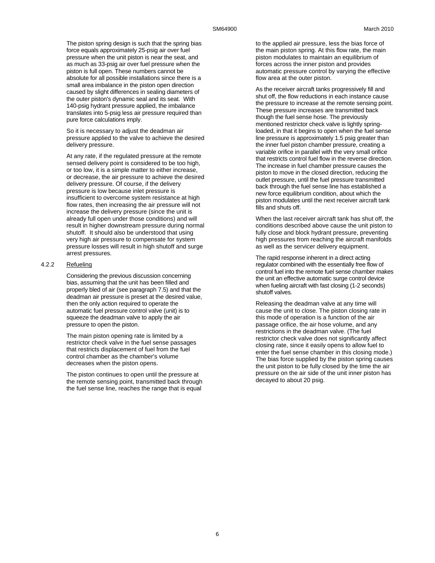The piston spring design is such that the spring bias force equals approximately 25-psig air over fuel pressure when the unit piston is near the seat, and as much as 33-psig air over fuel pressure when the piston is full open. These numbers cannot be absolute for all possible installations since there is a small area imbalance in the piston open direction caused by slight differences in sealing diameters of the outer piston's dynamic seal and its seat. With 140-psig hydrant pressure applied, the imbalance translates into 5-psig less air pressure required than pure force calculations imply.

So it is necessary to adjust the deadman air pressure applied to the valve to achieve the desired delivery pressure.

At any rate, if the regulated pressure at the remote sensed delivery point is considered to be too high, or too low, it is a simple matter to either increase, or decrease, the air pressure to achieve the desired delivery pressure. Of course, if the delivery pressure is low because inlet pressure is insufficient to overcome system resistance at high flow rates, then increasing the air pressure will not increase the delivery pressure (since the unit is already full open under those conditions) and will result in higher downstream pressure during normal shutoff. It should also be understood that using very high air pressure to compensate for system pressure losses will result in high shutoff and surge arrest pressures.

#### 4.2.2 Refueling

Considering the previous discussion concerning bias, assuming that the unit has been filled and properly bled of air (see paragraph 7.5) and that the deadman air pressure is preset at the desired value, then the only action required to operate the automatic fuel pressure control valve (unit) is to squeeze the deadman valve to apply the air pressure to open the piston.

The main piston opening rate is limited by a restrictor check valve in the fuel sense passages that restricts displacement of fuel from the fuel control chamber as the chamber's volume decreases when the piston opens.

The piston continues to open until the pressure at the remote sensing point, transmitted back through the fuel sense line, reaches the range that is equal to the applied air pressure, less the bias force of the main piston spring. At this flow rate, the main piston modulates to maintain an equilibrium of forces across the inner piston and provides automatic pressure control by varying the effective flow area at the outer piston.

As the receiver aircraft tanks progressively fill and shut off, the flow reductions in each instance cause the pressure to increase at the remote sensing point. These pressure increases are transmitted back though the fuel sense hose. The previously mentioned restrictor check valve is lightly springloaded, in that it begins to open when the fuel sense line pressure is approximately 1.5 psig greater than the inner fuel piston chamber pressure, creating a variable orifice in parallel with the very small orifice that restricts control fuel flow in the reverse direction. The increase in fuel chamber pressure causes the piston to move in the closed direction, reducing the outlet pressure, until the fuel pressure transmitted back through the fuel sense line has established a new force equilibrium condition, about which the piston modulates until the next receiver aircraft tank fills and shuts off.

When the last receiver aircraft tank has shut off, the conditions described above cause the unit piston to fully close and block hydrant pressure, preventing high pressures from reaching the aircraft manifolds as well as the servicer delivery equipment.

The rapid response inherent in a direct acting regulator combined with the essentially free flow of control fuel into the remote fuel sense chamber makes the unit an effective automatic surge control device when fueling aircraft with fast closing (1-2 seconds) shutoff valves.

Releasing the deadman valve at any time will cause the unit to close. The piston closing rate in this mode of operation is a function of the air passage orifice, the air hose volume, and any restrictions in the deadman valve. (The fuel restrictor check valve does not significantly affect closing rate, since it easily opens to allow fuel to enter the fuel sense chamber in this closing mode.) The bias force supplied by the piston spring causes the unit piston to be fully closed by the time the air pressure on the air side of the unit inner piston has decayed to about 20 psig.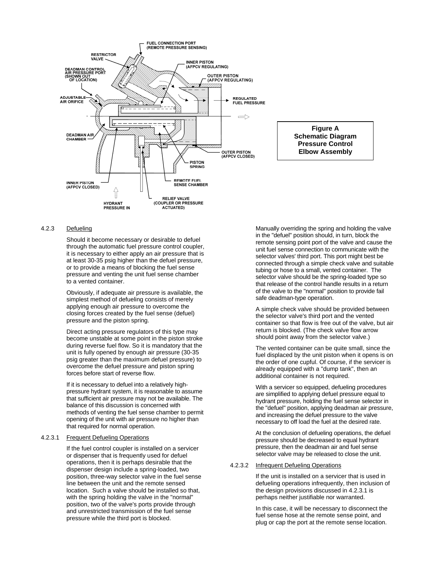

#### 4.2.3 Defueling

Should it become necessary or desirable to defuel through the automatic fuel pressure control coupler, it is necessary to either apply an air pressure that is at least 30-35 psig higher than the defuel pressure, or to provide a means of blocking the fuel sense pressure and venting the unit fuel sense chamber to a vented container.

Obviously, if adequate air pressure is available, the simplest method of defueling consists of merely applying enough air pressure to overcome the closing forces created by the fuel sense (defuel) pressure and the piston spring.

Direct acting pressure regulators of this type may become unstable at some point in the piston stroke during reverse fuel flow. So it is mandatory that the unit is fully opened by enough air pressure (30-35 psig greater than the maximum defuel pressure) to overcome the defuel pressure and piston spring forces before start of reverse flow.

If it is necessary to defuel into a relatively highpressure hydrant system, it is reasonable to assume that sufficient air pressure may not be available. The balance of this discussion is concerned with methods of venting the fuel sense chamber to permit opening of the unit with air pressure no higher than that required for normal operation.

## 4.2.3.1 Frequent Defueling Operations

If the fuel control coupler is installed on a servicer or dispenser that is frequently used for defuel operations, then it is perhaps desirable that the dispenser design include a spring-loaded, two position, three-way selector valve in the fuel sense line between the unit and the remote sensed location. Such a valve should be installed so that, with the spring holding the valve in the "normal" position, two of the valve's ports provide through and unrestricted transmission of the fuel sense pressure while the third port is blocked.

Manually overriding the spring and holding the valve in the "defuel" position should, in turn, block the remote sensing point port of the valve and cause the unit fuel sense connection to communicate with the selector valves' third port. This port might best be connected through a simple check valve and suitable tubing or hose to a small, vented container. The selector valve should be the spring-loaded type so that release of the control handle results in a return of the valve to the "normal" position to provide fail safe deadman-type operation.

A simple check valve should be provided between the selector valve's third port and the vented container so that flow is free out of the valve, but air return is blocked. (The check valve flow arrow should point away from the selector valve.)

The vented container can be quite small, since the fuel displaced by the unit piston when it opens is on the order of one cupful. Of course, if the servicer is already equipped with a "dump tank", then an additional container is not required.

With a servicer so equipped, defueling procedures are simplified to applying defuel pressure equal to hydrant pressure, holding the fuel sense selector in the "defuel" position, applying deadman air pressure, and increasing the defuel pressure to the valve necessary to off load the fuel at the desired rate.

At the conclusion of defueling operations, the defuel pressure should be decreased to equal hydrant pressure, then the deadman air and fuel sense selector valve may be released to close the unit.

## 4.2.3.2 Infrequent Defueling Operations

If the unit is installed on a servicer that is used in defueling operations infrequently, then inclusion of the design provisions discussed in 4.2.3.1 is perhaps neither justifiable nor warranted.

In this case, it will be necessary to disconnect the fuel sense hose at the remote sense point, and plug or cap the port at the remote sense location.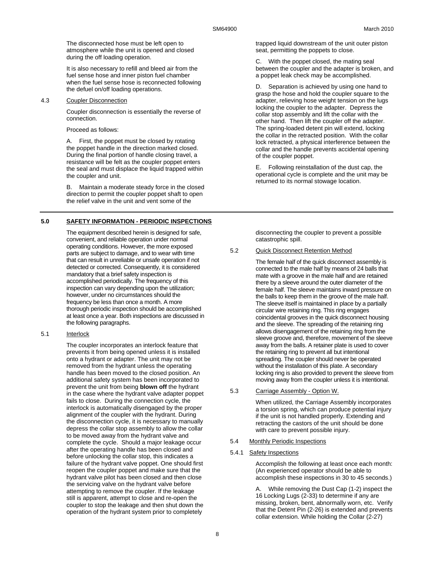The disconnected hose must be left open to atmosphere while the unit is opened and closed during the off loading operation.

It is also necessary to refill and bleed air from the fuel sense hose and inner piston fuel chamber when the fuel sense hose is reconnected following the defuel on/off loading operations.

### 4.3 Coupler Disconnection

Coupler disconnection is essentially the reverse of connection.

Proceed as follows:

A. First, the poppet must be closed by rotating the poppet handle in the direction marked closed. During the final portion of handle closing travel, a resistance will be felt as the coupler poppet enters the seal and must displace the liquid trapped within the coupler and unit.

B. Maintain a moderate steady force in the closed direction to permit the coupler poppet shaft to open the relief valve in the unit and vent some of the

## **5.0 SAFETY INFORMATION - PERIODIC INSPECTIONS**

The equipment described herein is designed for safe, convenient, and reliable operation under normal operating conditions. However, the more exposed parts are subject to damage, and to wear with time that can result in unreliable or unsafe operation if not detected or corrected. Consequently, it is considered mandatory that a brief safety inspection is accomplished periodically. The frequency of this inspection can vary depending upon the utilization; however, under no circumstances should the frequency be less than once a month. A more thorough periodic inspection should be accomplished at least once a year. Both inspections are discussed in the following paragraphs.

5.1 Interlock

The coupler incorporates an interlock feature that prevents it from being opened unless it is installed onto a hydrant or adapter. The unit may not be removed from the hydrant unless the operating handle has been moved to the closed position. An additional safety system has been incorporated to prevent the unit from being **blown off** the hydrant in the case where the hydrant valve adapter poppet fails to close. During the connection cycle, the interlock is automatically disengaged by the proper alignment of the coupler with the hydrant. During the disconnection cycle, it is necessary to manually depress the collar stop assembly to allow the collar to be moved away from the hydrant valve and complete the cycle. Should a major leakage occur after the operating handle has been closed and before unlocking the collar stop, this indicates a failure of the hydrant valve poppet. One should first reopen the coupler poppet and make sure that the hydrant valve pilot has been closed and then close the servicing valve on the hydrant valve before attempting to remove the coupler. If the leakage still is apparent, attempt to close and re-open the coupler to stop the leakage and then shut down the operation of the hydrant system prior to completely

trapped liquid downstream of the unit outer piston seat, permitting the poppets to close.

C. With the poppet closed, the mating seal between the coupler and the adapter is broken, and a poppet leak check may be accomplished.

D. Separation is achieved by using one hand to grasp the hose and hold the coupler square to the adapter, relieving hose weight tension on the lugs locking the coupler to the adapter. Depress the collar stop assembly and lift the collar with the other hand. Then lift the coupler off the adapter. The spring-loaded detent pin will extend, locking the collar in the retracted position. With the collar lock retracted, a physical interference between the collar and the handle prevents accidental opening of the coupler poppet.

E. Following reinstallation of the dust cap, the operational cycle is complete and the unit may be returned to its normal stowage location.

disconnecting the coupler to prevent a possible catastrophic spill.

## 5.2 Quick Disconnect Retention Method

The female half of the quick disconnect assembly is connected to the male half by means of 24 balls that mate with a groove in the male half and are retained there by a sleeve around the outer diameter of the female half. The sleeve maintains inward pressure on the balls to keep them in the groove of the male half. The sleeve itself is maintained in place by a partially circular wire retaining ring. This ring engages coincidental grooves in the quick disconnect housing and the sleeve. The spreading of the retaining ring allows disengagement of the retaining ring from the sleeve groove and, therefore, movement of the sleeve away from the balls. A retainer plate is used to cover the retaining ring to prevent all but intentional spreading. The coupler should never be operated without the installation of this plate. A secondary locking ring is also provided to prevent the sleeve from moving away from the coupler unless it is intentional.

### 5.3 Carriage Assembly - Option W.

When utilized, the Carriage Assembly incorporates a torsion spring, which can produce potential injury if the unit is not handled properly. Extending and retracting the castors of the unit should be done with care to prevent possible injury.

5.4 Monthly Periodic Inspections

#### 5.4.1 Safety Inspections

Accomplish the following at least once each month: (An experienced operator should be able to accomplish these inspections in 30 to 45 seconds.)

A. While removing the Dust Cap (1-2) inspect the 16 Locking Lugs (2-33) to determine if any are missing, broken, bent, abnormally worn, etc. Verify that the Detent Pin (2-26) is extended and prevents collar extension. While holding the Collar (2-27)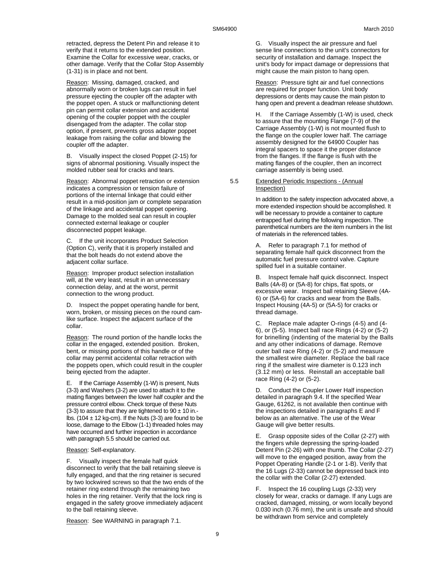retracted, depress the Detent Pin and release it to verify that it returns to the extended position. Examine the Collar for excessive wear, cracks, or other damage. Verify that the Collar Stop Assembly (1-31) is in place and not bent.

Reason: Missing, damaged, cracked, and abnormally worn or broken lugs can result in fuel pressure ejecting the coupler off the adapter with the poppet open. A stuck or malfunctioning detent pin can permit collar extension and accidental opening of the coupler poppet with the coupler disengaged from the adapter. The collar stop option, if present, prevents gross adapter poppet leakage from raising the collar and blowing the coupler off the adapter.

B. Visually inspect the closed Poppet (2-15) for signs of abnormal positioning. Visually inspect the molded rubber seal for cracks and tears.

Reason: Abnormal poppet retraction or extension indicates a compression or tension failure of portions of the internal linkage that could either result in a mid-position jam or complete separation of the linkage and accidental poppet opening. Damage to the molded seal can result in coupler connected external leakage or coupler disconnected poppet leakage.

C. If the unit incorporates Product Selection (Option C), verify that it is properly installed and that the bolt heads do not extend above the adjacent collar surface.

Reason: Improper product selection installation will, at the very least, result in an unnecessary connection delay, and at the worst, permit connection to the wrong product.

D. Inspect the poppet operating handle for bent, worn, broken, or missing pieces on the round camlike surface. Inspect the adjacent surface of the collar.

Reason: The round portion of the handle locks the collar in the engaged, extended position. Broken, bent, or missing portions of this handle or of the collar may permit accidental collar retraction with the poppets open, which could result in the coupler being ejected from the adapter.

E. If the Carriage Assembly (1-W) is present, Nuts (3-3) and Washers (3-2) are used to attach it to the mating flanges between the lower half coupler and the pressure control elbow. Check torque of these Nuts (3-3) to assure that they are tightened to  $90 \pm 10$  in.lbs. (104  $\pm$  12 kg-cm). If the Nuts (3-3) are found to be loose, damage to the Elbow (1-1) threaded holes may have occurred and further inspection in accordance with paragraph 5.5 should be carried out.

Reason: Self-explanatory.

F. Visually inspect the female half quick disconnect to verify that the ball retaining sleeve is fully engaged, and that the ring retainer is secured by two lockwired screws so that the two ends of the retainer ring extend through the remaining two holes in the ring retainer. Verify that the lock ring is engaged in the safety groove immediately adjacent to the ball retaining sleeve.

G. Visually inspect the air pressure and fuel sense line connections to the unit's connectors for security of installation and damage. Inspect the unit's body for impact damage or depressions that might cause the main piston to hang open.

Reason: Pressure tight air and fuel connections are required for proper function. Unit body depressions or dents may cause the main piston to hang open and prevent a deadman release shutdown.

H. If the Carriage Assembly (1-W) is used, check to assure that the mounting Flange (7-9) of the Carriage Assembly (1-W) is not mounted flush to the flange on the coupler lower half. The carriage assembly designed for the 64900 Coupler has integral spacers to space it the proper distance from the flanges. If the flange is flush with the mating flanges of the coupler, then an incorrect carriage assembly is being used.

5.5 Extended Periodic Inspections - (Annual Inspection)

> In addition to the safety inspection advocated above, a more extended inspection should be accomplished. It will be necessary to provide a container to capture entrapped fuel during the following inspection. The parenthetical numbers are the item numbers in the list of materials in the referenced tables.

A. Refer to paragraph 7.1 for method of separating female half quick disconnect from the automatic fuel pressure control valve. Capture spilled fuel in a suitable container.

B. Inspect female half quick disconnect. Inspect Balls (4A-8) or (5A-8) for chips, flat spots, or excessive wear. Inspect ball retaining Sleeve (4A-6) or (5A-6) for cracks and wear from the Balls. Inspect Housing (4A-5) or (5A-5) for cracks or thread damage.

C. Replace male adapter O-rings (4-5) and (4- 6), or (5-5). Inspect ball race Rings (4-2) or (5-2) for brinelling (indenting of the material by the Balls and any other indications of damage. Remove outer ball race Ring (4-2) or (5-2) and measure the smallest wire diameter. Replace the ball race ring if the smallest wire diameter is 0.123 inch (3.12 mm) or less. Reinstall an acceptable ball race Ring (4-2) or (5-2).

D. Conduct the Coupler Lower Half inspection detailed in paragraph 9.4. If the specified Wear Gauge, 61262, is not available then continue with the inspections detailed in paragraphs E and F below as an alternative. The use of the Wear Gauge will give better results.

E. Grasp opposite sides of the Collar (2-27) with the fingers while depressing the spring-loaded Detent Pin (2-26) with one thumb. The Collar (2-27) will move to the engaged position, away from the Poppet Operating Handle (2-1 or 1-B). Verify that the 16 Lugs (2-33) cannot be depressed back into the collar with the Collar (2-27) extended.

F. Inspect the 16 coupling Lugs (2-33) very closely for wear, cracks or damage. If any Lugs are cracked, damaged, missing, or worn locally beyond 0.030 inch (0.76 mm), the unit is unsafe and should be withdrawn from service and completely

Reason: See WARNING in paragraph 7.1.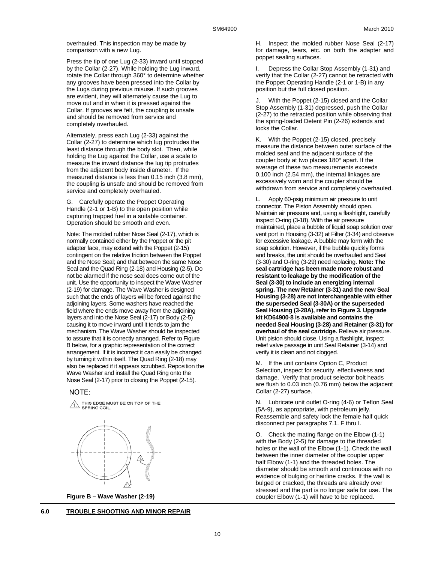overhauled. This inspection may be made by comparison with a new Lug.

Press the tip of one Lug (2-33) inward until stopped by the Collar (2-27). While holding the Lug inward, rotate the Collar through 360° to determine whether any grooves have been pressed into the Collar by the Lugs during previous misuse. If such grooves are evident, they will alternately cause the Lug to move out and in when it is pressed against the Collar. If grooves are felt, the coupling is unsafe and should be removed from service and completely overhauled.

Alternately, press each Lug (2-33) against the Collar (2-27) to determine which lug protrudes the least distance through the body slot. Then, while holding the Lug against the Collar, use a scale to measure the inward distance the lug tip protrudes from the adjacent body inside diameter. If the measured distance is less than 0.15 inch (3.8 mm), the coupling is unsafe and should be removed from service and completely overhauled.

G. Carefully operate the Poppet Operating Handle (2-1 or 1-B) to the open position while capturing trapped fuel in a suitable container. Operation should be smooth and even.

Note: The molded rubber Nose Seal (2-17), which is normally contained either by the Poppet or the pit adapter face, may extend with the Poppet (2-15) contingent on the relative friction between the Poppet and the Nose Seal; and that between the same Nose Seal and the Quad Ring (2-18) and Housing (2-5). Do not be alarmed if the nose seal does come out of the unit. Use the opportunity to inspect the Wave Washer (2-19) for damage. The Wave Washer is designed such that the ends of layers will be forced against the adjoining layers. Some washers have reached the field where the ends move away from the adjoining layers and into the Nose Seal (2-17) or Body (2-5) causing it to move inward until it tends to jam the mechanism. The Wave Washer should be inspected to assure that it is correctly arranged. Refer to Figure B below, for a graphic representation of the correct arrangement. If it is incorrect it can easily be changed by turning it within itself. The Quad Ring (2-18) may also be replaced if it appears scrubbed. Reposition the Wave Washer and install the Quad Ring onto the Nose Seal (2-17) prior to closing the Poppet (2-15).

#### NOTE:

THIS EDGE MUST BE ON TOP OF THE<br>SPRING COIL.



**Figure B – Wave Washer (2-19)** 

H. Inspect the molded rubber Nose Seal (2-17) for damage, tears, etc. on both the adapter and poppet sealing surfaces.

I. Depress the Collar Stop Assembly (1-31) and verify that the Collar (2-27) cannot be retracted with the Poppet Operating Handle (2-1 or 1-B) in any position but the full closed position.

J. With the Poppet (2-15) closed and the Collar Stop Assembly (1-31) depressed, push the Collar (2-27) to the retracted position while observing that the spring-loaded Detent Pin (2-26) extends and locks the Collar.

K. With the Poppet (2-15) closed, precisely measure the distance between outer surface of the molded seal and the adjacent surface of the coupler body at two places 180° apart. If the average of these two measurements exceeds 0.100 inch (2.54 mm), the internal linkages are excessively worn and the coupler should be withdrawn from service and completely overhauled.

L. Apply 60-psig minimum air pressure to unit connector. The Piston Assembly should open. Maintain air pressure and, using a flashlight, carefully inspect O-ring (3-18). With the air pressure maintained, place a bubble of liquid soap solution over vent port in Housing (3-32) at Filter (3-34) and observe for excessive leakage. A bubble may form with the soap solution. However, if the bubble quickly forms and breaks, the unit should be overhauled and Seal (3-30) and O-ring (3-29) need replacing. **Note: The seal cartridge has been made more robust and resistant to leakage by the modification of the Seal (3-30) to include an energizing internal spring. The new Retainer (3-31) and the new Seal Housing (3-28) are not interchangeable with either the superseded Seal (3-30A) or the superseded Seal Housing (3-28A), refer to Figure 3. Upgrade kit KD64900-8 is available and contains the needed Seal Housing (3-28) and Retainer (3-31) for overhaul of the seal cartridge.** Relieve air pressure. Unit piston should close. Using a flashlight, inspect relief valve passage in unit Seal Retainer (3-14) and verify it is clean and not clogged.

M. If the unit contains Option C, Product Selection, inspect for security, effectiveness and damage. Verify that product selector bolt heads are flush to 0.03 inch (0.76 mm) below the adjacent Collar (2-27) surface.

N. Lubricate unit outlet O-ring (4-6) or Teflon Seal (5A-9), as appropriate, with petroleum jelly. Reassemble and safety lock the female half quick disconnect per paragraphs 7.1. F thru I.

O. Check the mating flange on the Elbow (1-1) with the Body (2-5) for damage to the threaded holes or the wall of the Elbow (1-1). Check the wall between the inner diameter of the coupler upper half Elbow (1-1) and the threaded holes. The diameter should be smooth and continuous with no evidence of bulging or hairline cracks. If the wall is bulged or cracked, the threads are already over stressed and the part is no longer safe for use. The coupler Elbow (1-1) will have to be replaced.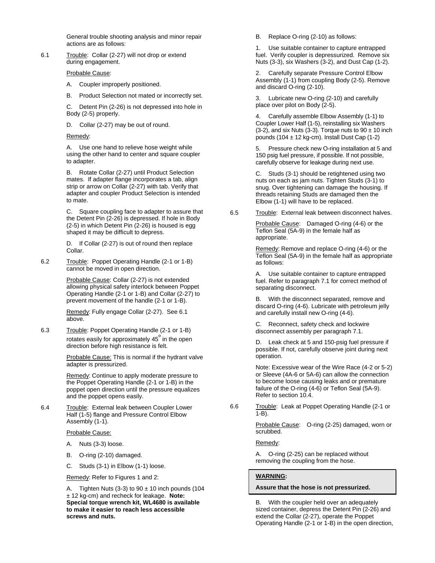General trouble shooting analysis and minor repair actions are as follows:

6.1 Trouble: Collar (2-27) will not drop or extend during engagement.

Probable Cause:

- A. Coupler improperly positioned.
- B. Product Selection not mated or incorrectly set.

C. Detent Pin (2-26) is not depressed into hole in Body (2-5) properly.

D. Collar (2-27) may be out of round.

Remedy:

A. Use one hand to relieve hose weight while using the other hand to center and square coupler to adapter.

B. Rotate Collar (2-27) until Product Selection mates. If adapter flange incorporates a tab, align strip or arrow on Collar (2-27) with tab. Verify that adapter and coupler Product Selection is intended to mate.

C. Square coupling face to adapter to assure that the Detent Pin (2-26) is depressed. If hole in Body (2-5) in which Detent Pin (2-26) is housed is egg shaped it may be difficult to depress.

D. If Collar (2-27) is out of round then replace Collar.

6.2 Trouble: Poppet Operating Handle (2-1 or 1-B) cannot be moved in open direction.

> Probable Cause: Collar (2-27) is not extended allowing physical safety interlock between Poppet Operating Handle (2-1 or 1-B) and Collar (2-27) to prevent movement of the handle (2-1 or 1-B).

Remedy: Fully engage Collar (2-27). See 6.1 above.

6.3 Trouble: Poppet Operating Handle (2-1 or 1-B) rotates easily for approximately 45º in the open direction before high resistance is felt.

> Probable Cause: This is normal if the hydrant valve adapter is pressurized.

Remedy: Continue to apply moderate pressure to the Poppet Operating Handle (2-1 or 1-B) in the poppet open direction until the pressure equalizes and the poppet opens easily.

6.4 Trouble: External leak between Coupler Lower Half (1-5) flange and Pressure Control Elbow Assembly (1-1).

Probable Cause:

- A. Nuts (3-3) loose.
- B. O-ring (2-10) damaged.
- C. Studs (3-1) in Elbow (1-1) loose.

Remedy: Refer to Figures 1 and 2:

A. Tighten Nuts (3-3) to  $90 \pm 10$  inch pounds (104 ± 12 kg-cm) and recheck for leakage. **Note: Special torque wrench kit, WL4680 is available to make it easier to reach less accessible screws and nuts.** 

B. Replace O-ring (2-10) as follows:

1. Use suitable container to capture entrapped fuel. Verify coupler is depressurized. Remove six Nuts (3-3), six Washers (3-2), and Dust Cap (1-2).

Carefully separate Pressure Control Elbow Assembly (1-1) from coupling Body (2-5). Remove and discard O-ring (2-10).

3. Lubricate new O-ring (2-10) and carefully place over pilot on Body (2-5).

4. Carefully assemble Elbow Assembly (1-1) to Coupler Lower Half (1-5), reinstalling six Washers  $(3-2)$ , and six Nuts  $(3-3)$ . Torque nuts to  $90 \pm 10$  inch pounds (104  $\pm$  12 kg-cm). Install Dust Cap (1-2)

5. Pressure check new O-ring installation at 5 and 150 psig fuel pressure, if possible. If not possible, carefully observe for leakage during next use.

C. Studs (3-1) should be retightened using two nuts on each as jam nuts. Tighten Studs (3-1) to snug. Over tightening can damage the housing. If threads retaining Studs are damaged then the Elbow (1-1) will have to be replaced.

6.5 Trouble: External leak between disconnect halves.

Probable Cause: Damaged O-ring (4-6) or the Teflon Seal (5A-9) in the female half as appropriate.

Remedy: Remove and replace O-ring (4-6) or the Teflon Seal (5A-9) in the female half as appropriate as follows:

A. Use suitable container to capture entrapped fuel. Refer to paragraph 7.1 for correct method of separating disconnect.

B. With the disconnect separated, remove and discard O-ring (4-6). Lubricate with petroleum jelly and carefully install new O-ring (4-6).

C. Reconnect, safety check and lockwire disconnect assembly per paragraph 7.1.

D. Leak check at 5 and 150-psig fuel pressure if possible. If not, carefully observe joint during next operation.

Note: Excessive wear of the Wire Race (4-2 or 5-2) or Sleeve (4A-6 or 5A-6) can allow the connection to become loose causing leaks and or premature failure of the O-ring (4-6) or Teflon Seal (5A-9). Refer to section 10.4.

6.6 Trouble: Leak at Poppet Operating Handle (2-1 or 1-B).

> Probable Cause: O-ring (2-25) damaged, worn or scrubbed.

Remedy:

A. O-ring (2-25) can be replaced without removing the coupling from the hose.

#### **WARNING:**

#### **Assure that the hose is not pressurized.**

B. With the coupler held over an adequately sized container, depress the Detent Pin (2-26) and extend the Collar (2-27), operate the Poppet Operating Handle (2-1 or 1-B) in the open direction,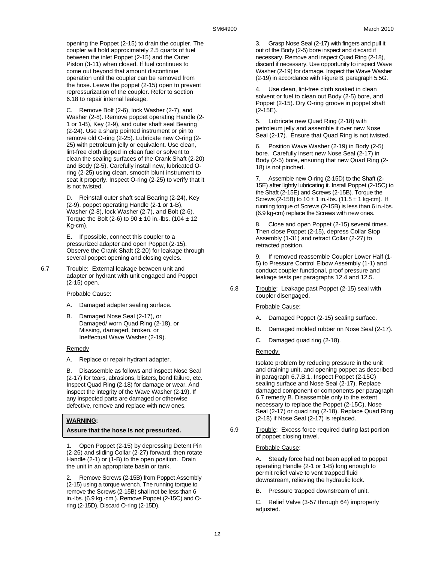opening the Poppet (2-15) to drain the coupler. The coupler will hold approximately 2.5 quarts of fuel between the inlet Poppet (2-15) and the Outer Piston (3-11) when closed. If fuel continues to come out beyond that amount discontinue operation until the coupler can be removed from the hose. Leave the poppet (2-15) open to prevent repressurization of the coupler. Refer to section 6.18 to repair internal leakage.

C. Remove Bolt (2-6), lock Washer (2-7), and Washer (2-8). Remove poppet operating Handle (2- 1 or 1-B), Key (2-9), and outer shaft seal Bearing (2-24). Use a sharp pointed instrument or pin to remove old O-ring (2-25). Lubricate new O-ring (2- 25) with petroleum jelly or equivalent. Use clean, lint-free cloth dipped in clean fuel or solvent to clean the sealing surfaces of the Crank Shaft (2-20) and Body (2-5). Carefully install new, lubricated Oring (2-25) using clean, smooth blunt instrument to seat it properly. Inspect O-ring (2-25) to verify that it is not twisted.

D. Reinstall outer shaft seal Bearing (2-24), Key (2-9), poppet operating Handle (2-1 or 1-B), Washer (2-8), lock Washer (2-7), and Bolt (2-6). Torque the Bolt (2-6) to  $90 \pm 10$  in.-lbs. (104  $\pm$  12 Kg-cm).

E. If possible, connect this coupler to a pressurized adapter and open Poppet (2-15). Observe the Crank Shaft (2-20) for leakage through several poppet opening and closing cycles.

6.7 Trouble: External leakage between unit and adapter or hydrant with unit engaged and Poppet (2-15) open.

#### Probable Cause:

- A. Damaged adapter sealing surface.
- B. Damaged Nose Seal (2-17), or Damaged/ worn Quad Ring (2-18), or Missing, damaged, broken, or Ineffectual Wave Washer (2-19).

#### **Remedy**

A. Replace or repair hydrant adapter.

B. Disassemble as follows and inspect Nose Seal (2-17) for tears, abrasions, blisters, bond failure, etc. Inspect Quad Ring (2-18) for damage or wear. And inspect the integrity of the Wave Washer (2-19). If any inspected parts are damaged or otherwise defective, remove and replace with new ones.

#### **WARNING:**

#### **Assure that the hose is not pressurized.**

1. Open Poppet (2-15) by depressing Detent Pin (2-26) and sliding Collar (2-27) forward, then rotate Handle (2-1) or (1-B) to the open position. Drain the unit in an appropriate basin or tank.

2. Remove Screws (2-15B) from Poppet Assembly (2-15) using a torque wrench. The running torque to remove the Screws (2-15B) shall not be less than 6 in.-lbs. (6.9 kg.-cm.). Remove Poppet (2-15C) and Oring (2-15D). Discard O-ring (2-15D).

3. Grasp Nose Seal (2-17) with fingers and pull it out of the Body (2-5) bore inspect and discard if necessary. Remove and inspect Quad Ring (2-18), discard if necessary. Use opportunity to inspect Wave Washer (2-19) for damage. Inspect the Wave Washer (2-19) in accordance with Figure B, paragraph 5.5G.

Use clean, lint-free cloth soaked in clean solvent or fuel to clean out Body (2-5) bore, and Poppet (2-15). Dry O-ring groove in poppet shaft (2-15E).

5. Lubricate new Quad Ring (2-18) with petroleum jelly and assemble it over new Nose Seal (2-17). Ensure that Quad Ring is not twisted.

6. Position Wave Washer (2-19) in Body (2-5) bore. Carefully insert new Nose Seal (2-17) in Body (2-5) bore, ensuring that new Quad Ring (2- 18) is not pinched.

7. Assemble new O-ring (2-15D) to the Shaft (2- 15E) after lightly lubricating it. Install Poppet (2-15C) to the Shaft (2-15E) and Screws (2-15B). Torque the Screws (2-15B) to  $10 \pm 1$  in.-lbs. (11.5  $\pm$  1 kg-cm). If running torque of Screws (2-15B) is less than 6 in.-lbs. (6.9 kg-cm) replace the Screws with new ones.

8. Close and open Poppet (2-15) several times. Then close Poppet (2-15), depress Collar Stop Assembly (1-31) and retract Collar (2-27) to retracted position.

9. If removed reassemble Coupler Lower Half (1- 5) to Pressure Control Elbow Assembly (1-1) and conduct coupler functional, proof pressure and leakage tests per paragraphs 12.4 and 12.5.

6.8 Trouble: Leakage past Poppet (2-15) seal with coupler disengaged.

#### Probable Cause:

- A. Damaged Poppet (2-15) sealing surface.
- B. Damaged molded rubber on Nose Seal (2-17).
- C. Damaged quad ring (2-18).

#### Remedy:

Isolate problem by reducing pressure in the unit and draining unit, and opening poppet as described in paragraph 6.7.B.1. Inspect Poppet (2-15C) sealing surface and Nose Seal (2-17). Replace damaged component or components per paragraph 6.7 remedy B. Disassemble only to the extent necessary to replace the Poppet (2-15C), Nose Seal (2-17) or quad ring (2-18). Replace Quad Ring (2-18) if Nose Seal (2-17) is replaced.

6.9 Trouble: Excess force required during last portion of poppet closing travel.

#### Probable Cause:

A. Steady force had not been applied to poppet operating Handle (2-1 or 1-B) long enough to permit relief valve to vent trapped fluid downstream, relieving the hydraulic lock.

B. Pressure trapped downstream of unit.

C. Relief Valve (3-57 through 64) improperly adjusted.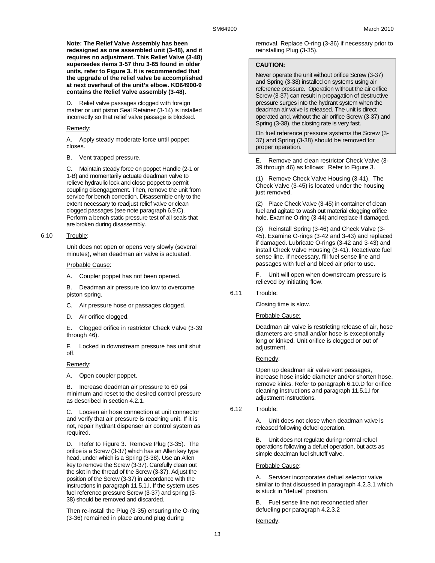**Note: The Relief Valve Assembly has been redesigned as one assembled unit (3-48), and it requires no adjustment. This Relief Valve (3-48) supersedes items 3-57 thru 3-65 found in older units, refer to Figure 3. It is recommended that the upgrade of the relief valve be accomplished at next overhaul of the unit's elbow. KD64900-9 contains the Relief Valve assembly (3-48).** 

D. Relief valve passages clogged with foreign matter or unit piston Seal Retainer (3-14) is installed incorrectly so that relief valve passage is blocked.

#### Remedy:

A. Apply steady moderate force until poppet closes.

B. Vent trapped pressure.

C. Maintain steady force on poppet Handle (2-1 or 1-B) and momentarily actuate deadman valve to relieve hydraulic lock and close poppet to permit coupling disengagement. Then, remove the unit from service for bench correction. Disassemble only to the extent necessary to readjust relief valve or clean clogged passages (see note paragraph 6.9.C). Perform a bench static pressure test of all seals that are broken during disassembly.

6.10 Trouble:

Unit does not open or opens very slowly (several minutes), when deadman air valve is actuated.

Probable Cause:

A. Coupler poppet has not been opened.

B. Deadman air pressure too low to overcome piston spring.

- C. Air pressure hose or passages clogged.
- D. Air orifice clogged.

E. Clogged orifice in restrictor Check Valve (3-39 through 46).

F. Locked in downstream pressure has unit shut off.

#### Remedy:

A. Open coupler poppet.

B. Increase deadman air pressure to 60 psi minimum and reset to the desired control pressure as described in section 4.2.1.

C. Loosen air hose connection at unit connector and verify that air pressure is reaching unit. If it is not, repair hydrant dispenser air control system as required.

D. Refer to Figure 3. Remove Plug (3-35). The orifice is a Screw (3-37) which has an Allen key type head, under which is a Spring (3-38). Use an Allen key to remove the Screw (3-37). Carefully clean out the slot in the thread of the Screw (3-37). Adjust the position of the Screw (3-37) in accordance with the instructions in paragraph 11.5.1.I. If the system uses fuel reference pressure Screw (3-37) and spring (3- 38) should be removed and discarded.

Then re-install the Plug (3-35) ensuring the O-ring (3-36) remained in place around plug during

removal. Replace O-ring (3-36) if necessary prior to reinstalling Plug (3-35).

#### **CAUTION:**

Never operate the unit without orifice Screw (3-37) and Spring (3-38) installed on systems using air reference pressure. Operation without the air orifice Screw (3-37) can result in propagation of destructive pressure surges into the hydrant system when the deadman air valve is released. The unit is direct operated and, without the air orifice Screw (3-37) and Spring (3-38), the closing rate is very fast.

On fuel reference pressure systems the Screw (3- 37) and Spring (3-38) should be removed for proper operation.

E. Remove and clean restrictor Check Valve (3- 39 through 46) as follows: Refer to Figure 3.

(1) Remove Check Valve Housing (3-41). The Check Valve (3-45) is located under the housing just removed.

(2) Place Check Valve (3-45) in container of clean fuel and agitate to wash out material clogging orifice hole. Examine O-ring (3-44) and replace if damaged.

(3) Reinstall Spring (3-46) and Check Valve (3- 45). Examine O-rings (3-42 and 3-43) and replaced if damaged. Lubricate O-rings (3-42 and 3-43) and install Check Valve Housing (3-41). Reactivate fuel sense line. If necessary, fill fuel sense line and passages with fuel and bleed air prior to use.

F. Unit will open when downstream pressure is relieved by initiating flow.

6.11 Trouble:

Closing time is slow.

#### Probable Cause:

Deadman air valve is restricting release of air, hose diameters are small and/or hose is exceptionally long or kinked. Unit orifice is clogged or out of adjustment.

#### Remedy:

Open up deadman air valve vent passages, increase hose inside diameter and/or shorten hose, remove kinks. Refer to paragraph 6.10.D for orifice cleaning instructions and paragraph 11.5.1.I for adjustment instructions.

#### 6.12 Trouble:

A. Unit does not close when deadman valve is released following defuel operation.

B. Unit does not regulate during normal refuel operations following a defuel operation, but acts as simple deadman fuel shutoff valve.

Probable Cause:

A. Servicer incorporates defuel selector valve similar to that discussed in paragraph 4.2.3.1 which is stuck in "defuel" position.

B. Fuel sense line not reconnected after defueling per paragraph 4.2.3.2

Remedy: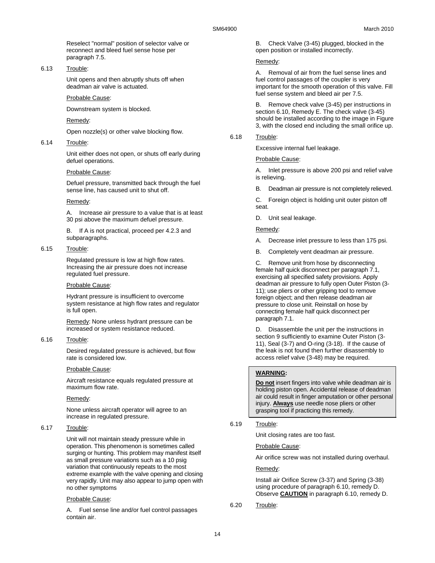Reselect "normal" position of selector valve or reconnect and bleed fuel sense hose per paragraph 7.5.

### 6.13 Trouble:

Unit opens and then abruptly shuts off when deadman air valve is actuated.

#### Probable Cause:

Downstream system is blocked.

Remedy:

Open nozzle(s) or other valve blocking flow.

6.14 Trouble:

Unit either does not open, or shuts off early during defuel operations.

#### Probable Cause:

Defuel pressure, transmitted back through the fuel sense line, has caused unit to shut off.

#### Remedy:

A. Increase air pressure to a value that is at least 30 psi above the maximum defuel pressure.

If A is not practical, proceed per 4.2.3 and subparagraphs.

#### 6.15 Trouble:

Regulated pressure is low at high flow rates. Increasing the air pressure does not increase regulated fuel pressure.

#### Probable Cause:

Hydrant pressure is insufficient to overcome system resistance at high flow rates and regulator is full open.

Remedy: None unless hydrant pressure can be increased or system resistance reduced.

6.16 Trouble:

Desired regulated pressure is achieved, but flow rate is considered low.

#### Probable Cause:

Aircraft resistance equals regulated pressure at maximum flow rate.

#### Remedy:

None unless aircraft operator will agree to an increase in regulated pressure.

#### 6.17 Trouble:

Unit will not maintain steady pressure while in operation. This phenomenon is sometimes called surging or hunting. This problem may manifest itself as small pressure variations such as a 10 psig variation that continuously repeats to the most extreme example with the valve opening and closing very rapidly. Unit may also appear to jump open with no other symptoms

#### Probable Cause:

A. Fuel sense line and/or fuel control passages contain air.

B. Check Valve (3-45) plugged, blocked in the open position or installed incorrectly.

#### Remedy:

A. Removal of air from the fuel sense lines and fuel control passages of the coupler is very important for the smooth operation of this valve. Fill fuel sense system and bleed air per 7.5.

B. Remove check valve (3-45) per instructions in section 6.10, Remedy E. The check valve (3-45) should be installed according to the image in Figure 3, with the closed end including the small orifice up.

## 6.18 Trouble:

Excessive internal fuel leakage.

#### Probable Cause:

A. Inlet pressure is above 200 psi and relief valve is relieving.

B. Deadman air pressure is not completely relieved.

C. Foreign object is holding unit outer piston off seat.

D. Unit seal leakage.

#### Remedy:

- A. Decrease inlet pressure to less than 175 psi.
- B. Completely vent deadman air pressure.

C. Remove unit from hose by disconnecting female half quick disconnect per paragraph 7.1, exercising all specified safety provisions. Apply deadman air pressure to fully open Outer Piston (3- 11); use pliers or other gripping tool to remove foreign object; and then release deadman air pressure to close unit. Reinstall on hose by connecting female half quick disconnect per paragraph 7.1.

D. Disassemble the unit per the instructions in section 9 sufficiently to examine Outer Piston (3-11), Seal (3-7) and O-ring (3-18). If the cause of the leak is not found then further disassembly to access relief valve (3-48) may be required.

#### **WARNING:**

**Do not** insert fingers into valve while deadman air is holding piston open. Accidental release of deadman air could result in finger amputation or other personal injury. **Always** use needle nose pliers or other grasping tool if practicing this remedy.

6.19 Trouble:

Unit closing rates are too fast.

Probable Cause:

Air orifice screw was not installed during overhaul.

Remedy:

Install air Orifice Screw (3-37) and Spring (3-38) using procedure of paragraph 6.10, remedy D. Observe **CAUTION** in paragraph 6.10, remedy D.

6.20 Trouble: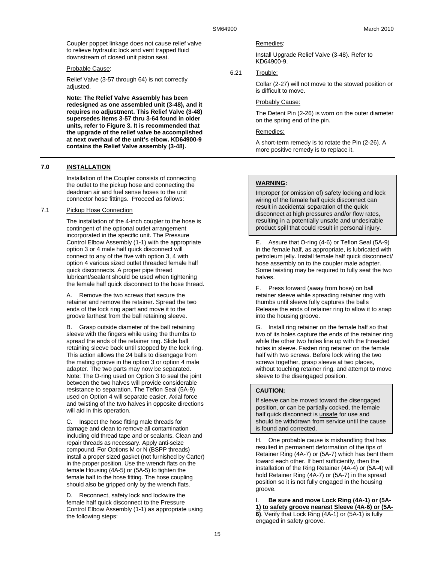Coupler poppet linkage does not cause relief valve to relieve hydraulic lock and vent trapped fluid downstream of closed unit piston seat.

### Probable Cause:

Relief Valve (3-57 through 64) is not correctly adjusted.

**Note: The Relief Valve Assembly has been redesigned as one assembled unit (3-48), and it requires no adjustment. This Relief Valve (3-48) supersedes items 3-57 thru 3-64 found in older units, refer to Figure 3. It is recommended that the upgrade of the relief valve be accomplished at next overhaul of the unit's elbow. KD64900-9 contains the Relief Valve assembly (3-48).** 

#### **7.0 INSTALLATION**

Installation of the Coupler consists of connecting the outlet to the pickup hose and connecting the deadman air and fuel sense hoses to the unit connector hose fittings. Proceed as follows:

#### 7.1 Pickup Hose Connection

The installation of the 4-inch coupler to the hose is contingent of the optional outlet arrangement incorporated in the specific unit. The Pressure Control Elbow Assembly (1-1) with the appropriate option 3 or 4 male half quick disconnect will connect to any of the five with option 3, 4 with option 4 various sized outlet threaded female half quick disconnects. A proper pipe thread lubricant/sealant should be used when tightening the female half quick disconnect to the hose thread.

A. Remove the two screws that secure the retainer and remove the retainer. Spread the two ends of the lock ring apart and move it to the groove farthest from the ball retaining sleeve.

B. Grasp outside diameter of the ball retaining sleeve with the fingers while using the thumbs to spread the ends of the retainer ring. Slide ball retaining sleeve back until stopped by the lock ring. This action allows the 24 balls to disengage from the mating groove in the option 3 or option 4 male adapter. The two parts may now be separated. Note: The O-ring used on Option 3 to seal the joint between the two halves will provide considerable resistance to separation. The Teflon Seal (5A-9) used on Option 4 will separate easier. Axial force and twisting of the two halves in opposite directions will aid in this operation.

C. Inspect the hose fitting male threads for damage and clean to remove all contamination including old thread tape and or sealants. Clean and repair threads as necessary. Apply anti-seize compound. For Options M or N (BSPP threads) install a proper sized gasket (not furnished by Carter) in the proper position. Use the wrench flats on the female Housing (4A-5) or (5A-5) to tighten the female half to the hose fitting. The hose coupling should also be gripped only by the wrench flats.

D. Reconnect, safety lock and lockwire the female half quick disconnect to the Pressure Control Elbow Assembly (1-1) as appropriate using the following steps:

Remedies:

Install Upgrade Relief Valve (3-48). Refer to KD64900-9.

6.21 Trouble:

Collar (2-27) will not move to the stowed position or is difficult to move.

#### Probably Cause:

The Detent Pin (2-26) is worn on the outer diameter on the spring end of the pin.

## Remedies:

A short-term remedy is to rotate the Pin (2-26). A more positive remedy is to replace it.

#### **WARNING:**

Improper (or omission of) safety locking and lock wiring of the female half quick disconnect can result in accidental separation of the quick disconnect at high pressures and/or flow rates, resulting in a potentially unsafe and undesirable product spill that could result in personal injury.

E. Assure that O-ring (4-6) or Teflon Seal (5A-9) in the female half, as appropriate, is lubricated with petroleum jelly. Install female half quick disconnect/ hose assembly on to the coupler male adapter. Some twisting may be required to fully seat the two halves.

F. Press forward (away from hose) on ball retainer sleeve while spreading retainer ring with thumbs until sleeve fully captures the balls Release the ends of retainer ring to allow it to snap into the housing groove.

G. Install ring retainer on the female half so that two of its holes capture the ends of the retainer ring while the other two holes line up with the threaded holes in sleeve. Fasten ring retainer on the female half with two screws. Before lock wiring the two screws together, grasp sleeve at two places, without touching retainer ring, and attempt to move sleeve to the disengaged position.

#### **CAUTION:**

If sleeve can be moved toward the disengaged position, or can be partially cocked, the female half quick disconnect is **unsafe** for use and should be withdrawn from service until the cause is found and corrected.

H. One probable cause is mishandling that has resulted in permanent deformation of the tips of Retainer Ring (4A-7) or (5A-7) which has bent them toward each other. If bent sufficiently, then the installation of the Ring Retainer (4A-4) or (5A-4) will hold Retainer Ring (4A-7) or (5A-7) in the spread position so it is not fully engaged in the housing groove.

I. **Be sure and move Lock Ring (4A-1) or (5A-1) to safety groove nearest Sleeve (4A-6) or (5A-6)**. Verify that Lock Ring (4A-1) or (5A-1) is fully engaged in safety groove.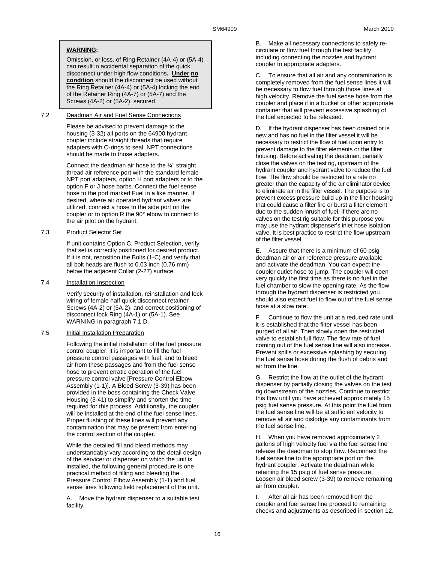## **WARNING:**

Omission, or loss, of Ring Retainer (4A-4) or (5A-4) can result in accidental separation of the quick disconnect under high flow conditions**. Under no condition** should the disconnect be used without the Ring Retainer (4A-4) or (5A-4) locking the end of the Retainer Ring (4A-7) or (5A-7) and the Screws (4A-2) or (5A-2), secured.

### 7.2 Deadman Air and Fuel Sense Connections

Please be advised to prevent damage to the housing (3-32) all ports on the 64900 hydrant coupler include straight threads that require adapters with O-rings to seal. NPT connections should be made to those adapters.

Connect the deadman air hose to the ¼" straight thread air reference port with the standard female NPT port adapters, option H port adapters or to the option F or J hose barbs. Connect the fuel sense hose to the port marked Fuel in a like manner. If desired, where air operated hydrant valves are utilized, connect a hose to the side port on the coupler or to option R the 90° elbow to connect to the air pilot on the hydrant.

### 7.3 Product Selector Set

If unit contains Option C, Product Selection, verify that set is correctly positioned for desired product. If it is not, reposition the Bolts (1-C) and verify that all bolt heads are flush to 0.03 inch (0.76 mm) below the adjacent Collar (2-27) surface.

#### 7.4 Installation Inspection

Verify security of installation, reinstallation and lock wiring of female half quick disconnect retainer Screws (4A-2) or (5A-2), and correct positioning of disconnect lock Ring (4A-1) or (5A-1). See WARNING in paragraph 7.1 D.

#### 7.5 Initial Installation Preparation

Following the initial installation of the fuel pressure control coupler, it is important to fill the fuel pressure control passages with fuel, and to bleed air from these passages and from the fuel sense hose to prevent erratic operation of the fuel pressure control valve [Pressure Control Elbow Assembly (1-1)]. A Bleed Screw (3-39) has been provided in the boss containing the Check Valve Housing (3-41) to simplify and shorten the time required for this process. Additionally, the coupler will be installed at the end of the fuel sense lines. Proper flushing of these lines will prevent any contamination that may be present from entering the control section of the coupler.

While the detailed fill and bleed methods may understandably vary according to the detail design of the servicer or dispenser on which the unit is installed, the following general procedure is one practical method of filling and bleeding the Pressure Control Elbow Assembly (1-1) and fuel sense lines following field replacement of the unit.

A. Move the hydrant dispenser to a suitable test facility.

B. Make all necessary connections to safely recirculate or flow fuel through the test facility including connecting the nozzles and hydrant coupler to appropriate adapters.

C. To ensure that all air and any contamination is completely removed from the fuel sense lines it will be necessary to flow fuel through those lines at high velocity. Remove the fuel sense hose from the coupler and place it in a bucket or other appropriate container that will prevent excessive splashing of the fuel expected to be released.

D. If the hydrant dispenser has been drained or is new and has no fuel in the filter vessel it will be necessary to restrict the flow of fuel upon entry to prevent damage to the filter elements or the filter housing. Before activating the deadman, partially close the valves on the test rig, upstream of the hydrant coupler and hydrant valve to reduce the fuel flow. The flow should be restricted to a rate no greater than the capacity of the air eliminator device to eliminate air in the filter vessel. The purpose is to prevent excess pressure build up in the filter housing that could cause a filter fire or burst a filter element due to the sudden inrush of fuel. If there are no valves on the test rig suitable for this purpose you may use the hydrant dispenser's inlet hose isolation valve. It is best practice to restrict the flow upstream of the filter vessel.

E. Assure that there is a minimum of 60 psig deadman air or air reference pressure available and activate the deadman. You can expect the coupler outlet hose to jump. The coupler will open very quickly the first time as there is no fuel in the fuel chamber to slow the opening rate. As the flow through the hydrant dispenser is restricted you should also expect fuel to flow out of the fuel sense hose at a slow rate.

F. Continue to flow the unit at a reduced rate until it is established that the filter vessel has been purged of all air. Then slowly open the restricted valve to establish full flow. The flow rate of fuel coming out of the fuel sense line will also increase. Prevent spills or excessive splashing by securing the fuel sense hose during the flush of debris and air from the line.

G. Restrict the flow at the outlet of the hydrant dispenser by partially closing the valves on the test rig downstream of the nozzles. Continue to restrict this flow until you have achieved approximately 15 psig fuel sense pressure. At this point the fuel from the fuel sense line will be at sufficient velocity to remove all air and dislodge any contaminants from the fuel sense line.

H. When you have removed approximately 2 gallons of high velocity fuel via the fuel sense line release the deadman to stop flow. Reconnect the fuel sense line to the appropriate port on the hydrant coupler. Activate the deadman while retaining the 15 psig of fuel sense pressure. Loosen air bleed screw (3-39) to remove remaining air from coupler.

I. After all air has been removed from the coupler and fuel sense line proceed to remaining checks and adjustments as described in section 12.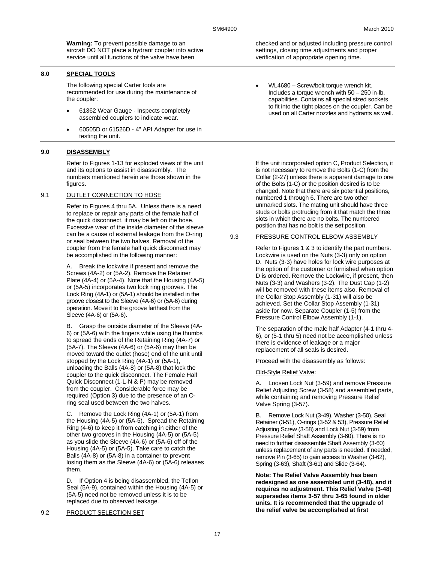**Warning:** To prevent possible damage to an aircraft DO NOT place a hydrant coupler into active service until all functions of the valve have been

## **8.0 SPECIAL TOOLS**

The following special Carter tools are recommended for use during the maintenance of the coupler:

- 61362 Wear Gauge Inspects completely assembled couplers to indicate wear.
- 60505D or 61526D 4" API Adapter for use in testing the unit.

## **9.0 DISASSEMBLY**

Refer to Figures 1-13 for exploded views of the unit and its options to assist in disassembly. The numbers mentioned herein are those shown in the figures.

#### 9.1 OUTLET CONNECTION TO HOSE

Refer to Figures 4 thru 5A. Unless there is a need to replace or repair any parts of the female half of the quick disconnect, it may be left on the hose. Excessive wear of the inside diameter of the sleeve can be a cause of external leakage from the O-ring or seal between the two halves. Removal of the coupler from the female half quick disconnect may be accomplished in the following manner:

A. Break the lockwire if present and remove the Screws (4A-2) or (5A-2). Remove the Retainer Plate (4A-4) or (5A-4). Note that the Housing (4A-5) or (5A-5) incorporates two lock ring grooves. The Lock Ring (4A-1) or (5A-1) should be installed in the groove closest to the Sleeve (4A-6) or (5A-6) during operation. Move it to the groove farthest from the Sleeve (4A-6) or (5A-6).

B. Grasp the outside diameter of the Sleeve (4A-6) or (5A-6) with the fingers while using the thumbs to spread the ends of the Retaining Ring (4A-7) or (5A-7). The Sleeve (4A-6) or (5A-6) may then be moved toward the outlet (hose) end of the unit until stopped by the Lock Ring (4A-1) or (5A-1), unloading the Balls (4A-8) or (5A-8) that lock the coupler to the quick disconnect. The Female Half Quick Disconnect (1-L-N & P) may be removed from the coupler. Considerable force may be required (Option 3) due to the presence of an Oring seal used between the two halves.

C. Remove the Lock Ring (4A-1) or (5A-1) from the Housing (4A-5) or (5A-5). Spread the Retaining Ring (4-6) to keep it from catching in either of the other two grooves in the Housing (4A-5) or (5A-5) as you slide the Sleeve (4A-6) or (5A-6) off of the Housing (4A-5) or (5A-5). Take care to catch the Balls (4A-8) or (5A-8) in a container to prevent losing them as the Sleeve (4A-6) or (5A-6) releases them.

D. If Option 4 is being disassembled, the Teflon Seal (5A-9), contained within the Housing (4A-5) or (5A-5) need not be removed unless it is to be replaced due to observed leakage.

#### 9.2 PRODUCT SELECTION SET

checked and or adjusted including pressure control settings, closing time adjustments and proper verification of appropriate opening time.

• WL4680 – Screw/bolt torque wrench kit. Includes a torque wrench with 50 – 250 in-lb. capabilities. Contains all special sized sockets to fit into the tight places on the coupler. Can be used on all Carter nozzles and hydrants as well.

If the unit incorporated option C, Product Selection, it is not necessary to remove the Bolts (1-C) from the Collar (2-27) unless there is apparent damage to one of the Bolts (1-C) or the position desired is to be changed. Note that there are six potential positions, numbered 1 through 6. There are two other unmarked slots. The mating unit should have three studs or bolts protruding from it that match the three slots in which there are no bolts. The numbered position that has no bolt is the **set** position.

#### 9.3 PRESSURE CONTROL ELBOW ASSEMBLY

Refer to Figures 1 & 3 to identify the part numbers. Lockwire is used on the Nuts (3-3) only on option D. Nuts (3-3) have holes for lock wire purposes at the option of the customer or furnished when option D is ordered. Remove the Lockwire, if present, then Nuts (3-3) and Washers (3-2). The Dust Cap (1-2) will be removed with these items also. Removal of the Collar Stop Assembly (1-31) will also be achieved. Set the Collar Stop Assembly (1-31) aside for now. Separate Coupler (1-5) from the Pressure Control Elbow Assembly (1-1).

The separation of the male half Adapter (4-1 thru 4- 6), or (5-1 thru 5) need not be accomplished unless there is evidence of leakage or a major replacement of all seals is desired.

Proceed with the disassembly as follows:

#### Old-Style Relief Valve:

A. Loosen Lock Nut (3-59) and remove Pressure Relief Adjusting Screw (3-58) and assembled parts, while containing and removing Pressure Relief Valve Spring (3-57).

B. Remove Lock Nut (3-49), Washer (3-50), Seal Retainer (3-51), O-rings (3-52 & 53), Pressure Relief Adjusting Screw (3-58) and Lock Nut (3-59) from Pressure Relief Shaft Assembly (3-60). There is no need to further disassemble Shaft Assembly (3-60) unless replacement of any parts is needed. If needed, remove Pin (3-65) to gain access to Washer (3-62), Spring (3-63), Shaft (3-61) and Slide (3-64).

**Note: The Relief Valve Assembly has been redesigned as one assembled unit (3-48), and it requires no adjustment. This Relief Valve (3-48) supersedes items 3-57 thru 3-65 found in older units. It is recommended that the upgrade of the relief valve be accomplished at first**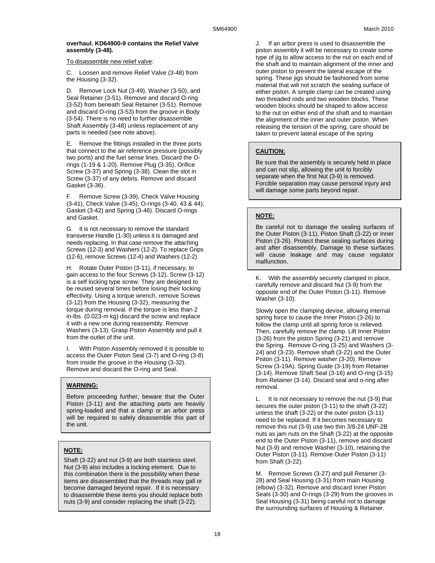## **overhaul. KD64900-9 contains the Relief Valve assembly (3-48).**

#### To disassemble new relief valve:

C. Loosen and remove Relief Valve (3-48) from the Housing (3-32).

D. Remove Lock Nut (3-49), Washer (3-50), and Seal Retainer (3-51). Remove and discard O-ring (3-52) from beneath Seal Retainer (3-51). Remove and discard O-ring (3-53) from the groove in Body (3-54). There is no need to further disassemble Shaft Assembly (3-48) unless replacement of any parts is needed (see note above).

E. Remove the fittings installed in the three ports that connect to the air reference pressure (possibly two ports) and the fuel sense lines. Discard the Orings (1-19 & 1-20). Remove Plug (3-35), Orifice Screw (3-37) and Spring (3-38). Clean the slot in Screw (3-37) of any debris. Remove and discard Gasket (3-36).

F. Remove Screw (3-39), Check Valve Housing (3-41), Check Valve (3-45), O-rings (3-40, 43 & 44), Gasket (3-42) and Spring (3-46). Discard O-rings and Gasket.

G. It is not necessary to remove the standard transverse Handle (1-30) unless it is damaged and needs replacing. In that case remove the attaching Screws (12-3) and Washers (12-2). To replace Grips (12-6), remove Screws (12-4) and Washers (12-2).

H. Rotate Outer Piston (3-11), if necessary, to gain access to the four Screws (3-12). Screw (3-12) is a self locking type screw. They are designed to be reused several times before losing their locking effectivity. Using a torque wrench, remove Screws (3-12) from the Housing (3-32), measuring the torque during removal. If the torque is less than 2 in-lbs. (0.023-m kg) discard the screw and replace it with a new one during reassembly. Remove Washers (3-13). Grasp Piston Assembly and pull it from the outlet of the unit.

I. With Piston Assembly removed it is possible to access the Outer Piston Seal (3-7) and O-ring (3-8) from inside the groove in the Housing (3-32). Remove and discard the O-ring and Seal.

## **WARNING:**

Before proceeding further, beware that the Outer Piston (3-11) and the attaching parts are heavily spring-loaded and that a clamp or an arbor press will be required to safely disassemble this part of the unit.

## **NOTE:**

Shaft (3-22) and nut (3-9) are both stainless steel. Nut (3-9) also includes a locking element. Due to this combination there is the possibility when these items are disassembled that the threads may gall or become damaged beyond repair. If it is necessary to disassemble these items you should replace both nuts (3-9) and consider replacing the shaft (3-22).

J. If an arbor press is used to disassemble the piston assembly it will be necessary to create some type of jig to allow access to the nut on each end of the shaft and to maintain alignment of the inner and outer piston to prevent the lateral escape of the spring. These jigs should be fashioned from some material that will not scratch the sealing surface of either piston. A simple clamp can be created using two threaded rods and two wooden blocks. These wooden blocks should be shaped to allow access to the nut on either end of the shaft and to maintain the alignment of the inner and outer piston. When releasing the tension of the spring, care should be taken to prevent lateral escape of the spring

## **CAUTION:**

Be sure that the assembly is securely held in place and can not slip, allowing the unit to forcibly separate when the first Nut (3-9) is removed. Forcible separation may cause personal injury and will damage some parts beyond repair.

## **NOTE:**

Be careful not to damage the sealing surfaces of the Outer Piston (3-11), Piston Shaft (3-22) or Inner Piston (3-26). Protect these sealing surfaces during and after disassembly. Damage to these surfaces will cause leakage and may cause regulator malfunction.

K. With the assembly securely clamped in place, carefully remove and discard Nut (3-9) from the opposite end of the Outer Piston (3-11). Remove Washer (3-10).

Slowly open the clamping devise, allowing internal spring force to cause the Inner Piston (3-26) to follow the clamp until all spring force is relieved. Then, carefully remove the clamp. Lift Inner Piston (3-26) from the piston Spring (3-21) and remove the Spring. Remove O-ring (3-25) and Washers (3- 24) and (3-23). Remove shaft (3-22) and the Outer Piston (3-11). Remove washer (3-20). Remove Screw (3-19A). Spring Guide (3-19) from Retainer (3-14). Remove Shaft Seal (3-16) and O-ring (3-15) from Retainer (3-14). Discard seal and o-ring after removal.

L. It is not necessary to remove the nut (3-9) that secures the outer piston (3-11) to the shaft (3-22) unless the shaft (3-22) or the outer piston (3-11) need to be replaced. If it becomes necessary to remove this nut (3-9) use two thin 3/8-24 UNF-2B nuts as jam nuts on the Shaft (3-22) at the opposite end to the Outer Piston (3-11), remove and discard Nut (3-9) and remove Washer (3-10), retaining the Outer Piston (3-11). Remove Outer Piston (3-11) from Shaft (3-22).

M. Remove Screws (3-27) and pull Retainer (3- 28) and Seal Housing (3-31) from main Housing (elbow) (3-32). Remove and discard Inner Piston Seals (3-30) and O-rings (3-29) from the grooves in Seal Housing (3-31) being careful not to damage the surrounding surfaces of Housing & Retainer.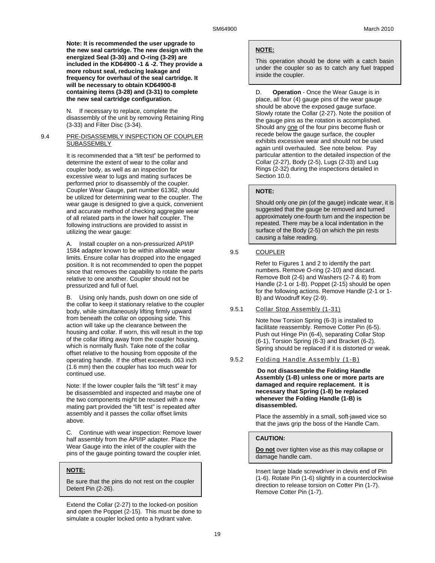**Note: It is recommended the user upgrade to the new seal cartridge. The new design with the energized Seal (3-30) and O-ring (3-29) are included in the KD64900 -1 & -2. They provide a more robust seal, reducing leakage and frequency for overhaul of the seal cartridge. It will be necessary to obtain KD64900-8 containing items (3-28) and (3-31) to complete the new seal cartridge configuration.** 

N. If necessary to replace, complete the disassembly of the unit by removing Retaining Ring (3-33) and Filter Disc (3-34).

#### 9.4 PRE-DISASSEMBLY INSPECTION OF COUPLER **SUBASSEMBLY**

It is recommended that a "lift test" be performed to determine the extent of wear to the collar and coupler body, as well as an inspection for excessive wear to lugs and mating surfaces be performed prior to disassembly of the coupler. Coupler Wear Gauge, part number 61362, should be utilized for determining wear to the coupler. The wear gauge is designed to give a quick, convenient and accurate method of checking aggregate wear of all related parts in the lower half coupler. The following instructions are provided to assist in utilizing the wear gauge:

A. Install coupler on a non-pressurized API/IP 1584 adapter known to be within allowable wear limits. Ensure collar has dropped into the engaged position. It is not recommended to open the poppet since that removes the capability to rotate the parts relative to one another. Coupler should not be pressurized and full of fuel.

B. Using only hands, push down on one side of the collar to keep it stationary relative to the coupler body, while simultaneously lifting firmly upward from beneath the collar on opposing side. This action will take up the clearance between the housing and collar. If worn, this will result in the top of the collar lifting away from the coupler housing, which is normally flush. Take note of the collar offset relative to the housing from opposite of the operating handle. If the offset exceeds .063 inch (1.6 mm) then the coupler has too much wear for continued use.

Note: If the lower coupler fails the "lift test" it may be disassembled and inspected and maybe one of the two components might be reused with a new mating part provided the "lift test" is repeated after assembly and it passes the collar offset limits above.

C. Continue with wear inspection: Remove lower half assembly from the API/IP adapter. Place the Wear Gauge into the inlet of the coupler with the pins of the gauge pointing toward the coupler inlet.

#### **NOTE:**

Be sure that the pins do not rest on the coupler Detent Pin (2-26).

Extend the Collar (2-27) to the locked-on position and open the Poppet (2-15). This must be done to simulate a coupler locked onto a hydrant valve.

#### **NOTE:**

This operation should be done with a catch basin under the coupler so as to catch any fuel trapped inside the coupler.

D. **Operation** - Once the Wear Gauge is in place, all four (4) gauge pins of the wear gauge should be above the exposed gauge surface. Slowly rotate the Collar (2-27). Note the position of the gauge pins as the rotation is accomplished. Should any one of the four pins become flush or recede below the gauge surface, the coupler exhibits excessive wear and should not be used again until overhauled. See note below. Pay particular attention to the detailed inspection of the Collar (2-27), Body (2-5), Lugs (2-33) and Lug Rings (2-32) during the inspections detailed in Section 10.0.

#### **NOTE:**

Should only one pin (of the gauge) indicate wear, it is suggested that the gauge be removed and turned approximately one-fourth turn and the inspection be repeated. There may be a local indentation in the surface of the Body (2-5) on which the pin rests causing a false reading.

## 9.5 COUPLER

Refer to Figures 1 and 2 to identify the part numbers. Remove O-ring (2-10) and discard. Remove Bolt (2-6) and Washers (2-7 & 8) from Handle (2-1 or 1-B). Poppet (2-15) should be open for the following actions. Remove Handle (2-1 or 1- B) and Woodruff Key (2-9).

#### 9.5.1 Collar Stop Assembly (1-31)

Note how Torsion Spring (6-3) is installed to facilitate reassembly. Remove Cotter Pin (6-5). Push out Hinge Pin (6-4), separating Collar Stop (6-1), Torsion Spring (6-3) and Bracket (6-2). Spring should be replaced if it is distorted or weak.

#### 9.5.2 Folding Handle Assembly (1-B)

**Do not disassemble the Folding Handle Assembly (1-B) unless one or more parts are damaged and require replacement. It is necessary that Spring (1-8) be replaced whenever the Folding Handle (1-B) is disassembled.**

Place the assembly in a small, soft-jawed vice so that the jaws grip the boss of the Handle Cam.

#### **CAUTION:**

**Do not** over tighten vise as this may collapse or damage handle cam.

Insert large blade screwdriver in clevis end of Pin (1-6). Rotate Pin (1-6) slightly in a counterclockwise direction to release torsion on Cotter Pin (1-7). Remove Cotter Pin (1-7).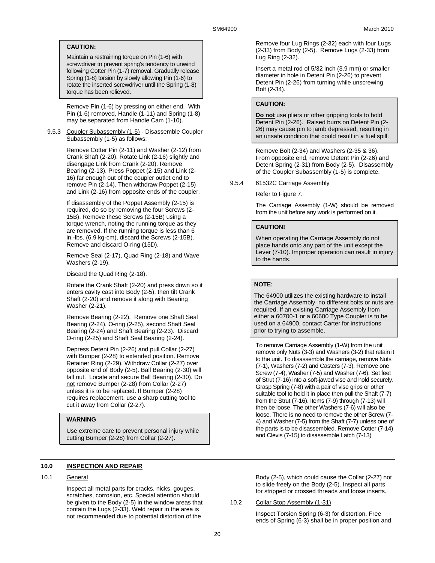## **CAUTION:**

Maintain a restraining torque on Pin (1-6) with screwdriver to prevent spring's tendency to unwind following Cotter Pin (1-7) removal. Gradually release Spring (1-8) torsion by slowly allowing Pin (1-6) to rotate the inserted screwdriver until the Spring (1-8) torque has been relieved.

Remove Pin (1-6) by pressing on either end. With Pin (1-6) removed, Handle (1-11) and Spring (1-8) may be separated from Handle Cam (1-10).

9.5.3 Coupler Subassembly (1-5) - Disassemble Coupler Subassembly (1-5) as follows:

> Remove Cotter Pin (2-11) and Washer (2-12) from Crank Shaft (2-20). Rotate Link (2-16) slightly and disengage Link from Crank (2-20). Remove Bearing (2-13). Press Poppet (2-15) and Link (2- 16) far enough out of the coupler outlet end to remove Pin (2-14). Then withdraw Poppet (2-15) and Link (2-16) from opposite ends of the coupler.

If disassembly of the Poppet Assembly (2-15) is required, do so by removing the four Screws (2- 15B). Remove these Screws (2-15B) using a torque wrench, noting the running torque as they are removed. If the running torque is less than 6 in.-lbs. (6.9 kg-cm), discard the Screws (2-15B). Remove and discard O-ring (15D).

Remove Seal (2-17), Quad Ring (2-18) and Wave Washers (2-19).

Discard the Quad Ring (2-18).

Rotate the Crank Shaft (2-20) and press down so it enters cavity cast into Body (2-5), then tilt Crank Shaft (2-20) and remove it along with Bearing Washer (2-21).

Remove Bearing (2-22). Remove one Shaft Seal Bearing (2-24), O-ring (2-25), second Shaft Seal Bearing (2-24) and Shaft Bearing (2-23). Discard O-ring (2-25) and Shaft Seal Bearing (2-24).

Depress Detent Pin (2-26) and pull Collar (2-27) with Bumper (2-28) to extended position. Remove Retainer Ring (2-29). Withdraw Collar (2-27) over opposite end of Body (2-5). Ball Bearing (2-30) will fall out. Locate and secure Ball Bearing (2-30). Do not remove Bumper (2-28) from Collar (2-27) unless it is to be replaced. If Bumper (2-28) requires replacement, use a sharp cutting tool to cut it away from Collar (2-27).

## **WARNING**

Use extreme care to prevent personal injury while cutting Bumper (2-28) from Collar (2-27).

## **10.0 INSPECTION AND REPAIR**

10.1 General

Inspect all metal parts for cracks, nicks, gouges, scratches, corrosion, etc. Special attention should be given to the Body (2-5) in the window areas that contain the Lugs (2-33). Weld repair in the area is not recommended due to potential distortion of the

Remove four Lug Rings (2-32) each with four Lugs (2-33) from Body (2-5). Remove Lugs (2-33) from Lug Ring (2-32).

Insert a metal rod of 5/32 inch (3.9 mm) or smaller diameter in hole in Detent Pin (2-26) to prevent Detent Pin (2-26) from turning while unscrewing Bolt (2-34).

#### **CAUTION:**

**Do not** use pliers or other gripping tools to hold Detent Pin (2-26). Raised burrs on Detent Pin (2- 26) may cause pin to jamb depressed, resulting in an unsafe condition that could result in a fuel spill.

Remove Bolt (2-34) and Washers (2-35 & 36). From opposite end, remove Detent Pin (2-26) and Detent Spring (2-31) from Body (2-5). Disassembly of the Coupler Subassembly (1-5) is complete.

#### 9.5.4 61532C Carriage Assembly

Refer to Figure 7.

The Carriage Assembly (1-W) should be removed from the unit before any work is performed on it.

### **CAUTION!**

When operating the Carriage Assembly do not place hands onto any part of the unit except the Lever (7-10). Improper operation can result in injury to the hands.

## **NOTE:**

The 64900 utilizes the existing hardware to install the Carriage Assembly, no different bolts or nuts are required. If an existing Carriage Assembly from either a 60700-1 or a 60600 Type Coupler is to be used on a 64900, contact Carter for instructions prior to trying to assemble.

To remove Carriage Assembly (1-W) from the unit remove only Nuts (3-3) and Washers (3-2) that retain it to the unit. To disassemble the carriage, remove Nuts (7-1), Washers (7-2) and Casters (7-3). Remove one Screw (7-4), Washer (7-5) and Washer (7-6). Set feet of Strut (7-16) into a soft-jawed vise and hold securely. Grasp Spring (7-8) with a pair of vise grips or other suitable tool to hold it in place then pull the Shaft (7-7) from the Strut (7-16). Items (7-9) through (7-13) will then be loose. The other Washers (7-6) will also be loose. There is no need to remove the other Screw (7- 4) and Washer (7-5) from the Shaft (7-7) unless one of the parts is to be disassembled. Remove Cotter (7-14) and Clevis (7-15) to disassemble Latch (7-13)

Body (2-5), which could cause the Collar (2-27) not to slide freely on the Body (2-5). Inspect all parts for stripped or crossed threads and loose inserts.

#### 10.2 Collar Stop Assembly (1-31)

Inspect Torsion Spring (6-3) for distortion. Free ends of Spring (6-3) shall be in proper position and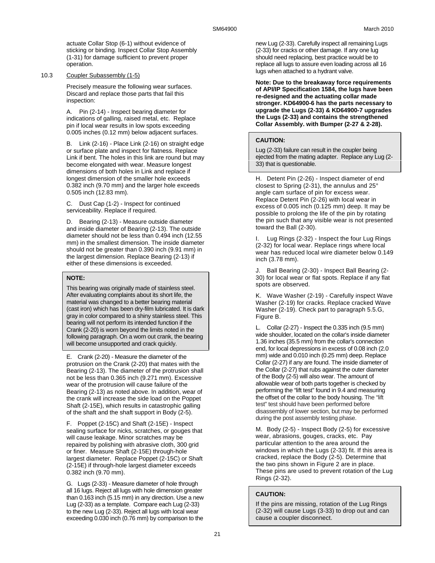actuate Collar Stop (6-1) without evidence of sticking or binding. Inspect Collar Stop Assembly (1-31) for damage sufficient to prevent proper operation.

#### 10.3 Coupler Subassembly (1-5)

Precisely measure the following wear surfaces. Discard and replace those parts that fail this inspection:

A. Pin (2-14) - Inspect bearing diameter for indications of galling, raised metal, etc. Replace pin if local wear results in low spots exceeding 0.005 inches (0.12 mm) below adjacent surfaces.

B. Link (2-16) - Place Link (2-16) on straight edge or surface plate and inspect for flatness. Replace Link if bent. The holes in this link are round but may become elongated with wear. Measure longest dimensions of both holes in Link and replace if longest dimension of the smaller hole exceeds 0.382 inch (9.70 mm) and the larger hole exceeds 0.505 inch (12.83 mm).

C. Dust Cap (1-2) - Inspect for continued serviceability. Replace if required.

D. Bearing (2-13) - Measure outside diameter and inside diameter of Bearing (2-13). The outside diameter should not be less than 0.494 inch (12.55 mm) in the smallest dimension. The inside diameter should not be greater than 0.390 inch (9.91 mm) in the largest dimension. Replace Bearing (2-13) if either of these dimensions is exceeded.

## **NOTE:**

This bearing was originally made of stainless steel. After evaluating complaints about its short life, the material was changed to a better bearing material (cast iron) which has been dry-film lubricated. It is dark gray in color compared to a shiny stainless steel. This bearing will not perform its intended function if the Crank (2-20) is worn beyond the limits noted in the following paragraph. On a worn out crank, the bearing will become unsupported and crack quickly.

E. Crank (2-20) - Measure the diameter of the protrusion on the Crank (2-20) that mates with the Bearing (2-13). The diameter of the protrusion shall not be less than 0.365 inch (9.271 mm). Excessive wear of the protrusion will cause failure of the Bearing (2-13) as noted above. In addition, wear of the crank will increase the side load on the Poppet Shaft (2-15E), which results in catastrophic galling of the shaft and the shaft support in Body (2-5).

F. Poppet (2-15C) and Shaft (2-15E) - Inspect sealing surface for nicks, scratches, or gouges that will cause leakage. Minor scratches may be repaired by polishing with abrasive cloth, 300 grid or finer. Measure Shaft (2-15E) through-hole largest diameter. Replace Poppet (2-15C) or Shaft (2-15E) if through-hole largest diameter exceeds 0.382 inch (9.70 mm).

G. Lugs (2-33) - Measure diameter of hole through all 16 lugs. Reject all lugs with hole dimension greater than 0.163 inch (5.15 mm) in any direction. Use a new Lug (2-33) as a template. Compare each Lug (2-33) to the new Lug (2-33). Reject all lugs with local wear exceeding 0.030 inch (0.76 mm) by comparison to the

new Lug (2-33). Carefully inspect all remaining Lugs (2-33) for cracks or other damage. If any one lug should need replacing, best practice would be to replace all lugs to assure even loading across all 16 lugs when attached to a hydrant valve.

**Note: Due to the breakaway force requirements of API/IP Specification 1584, the lugs have been re-designed and the actuating collar made stronger. KD64900-6 has the parts necessary to upgrade the Lugs (2-33) & KD64900-7 upgrades the Lugs (2-33) and contains the strengthened Collar Assembly. with Bumper (2-27 & 2-28).** 

## **CAUTION:**

Lug (2-33) failure can result in the coupler being ejected from the mating adapter. Replace any Lug (2- 33) that is questionable.

H. Detent Pin (2-26) - Inspect diameter of end closest to Spring (2-31), the annulus and 25° angle cam surface of pin for excess wear. Replace Detent Pin (2-26) with local wear in excess of 0.005 inch (0.125 mm) deep. It may be possible to prolong the life of the pin by rotating the pin such that any visible wear is not presented toward the Ball (2-30).

Lug Rings (2-32) - Inspect the four Lug Rings (2-32) for local wear. Replace rings where local wear has reduced local wire diameter below 0.149 inch (3.78 mm).

J. Ball Bearing (2-30) - Inspect Ball Bearing (2- 30) for local wear or flat spots. Replace if any flat spots are observed.

K. Wave Washer (2-19) - Carefully inspect Wave Washer (2-19) for cracks. Replace cracked Wave Washer (2-19). Check part to paragraph 5.5.G, Figure B.

L. Collar (2-27) - Inspect the 0.335 inch (9.5 mm) wide shoulder, located on the collar's inside diameter 1.36 inches (35.5 mm) from the collar's connection end, for local depressions in excess of 0.08 inch (2.0 mm) wide and 0.010 inch (0.25 mm) deep. Replace Collar (2-27) if any are found. The inside diameter of the Collar (2-27) that rubs against the outer diameter of the Body (2-5) will also wear. The amount of allowable wear of both parts together is checked by performing the "lift test" found in 9.4 and measuring the offset of the collar to the body housing. The "lift test" test should have been performed before disassembly of lower section, but may be performed during the post assembly testing phase.

M. Body (2-5) - Inspect Body (2-5) for excessive wear, abrasions, gouges, cracks, etc. Pay particular attention to the area around the windows in which the Lugs (2-33) fit. If this area is cracked, replace the Body (2-5). Determine that the two pins shown in Figure 2 are in place. These pins are used to prevent rotation of the Lug Rings (2-32).

## **CAUTION:**

If the pins are missing, rotation of the Lug Rings (2-32) will cause Lugs (3-33) to drop out and can cause a coupler disconnect.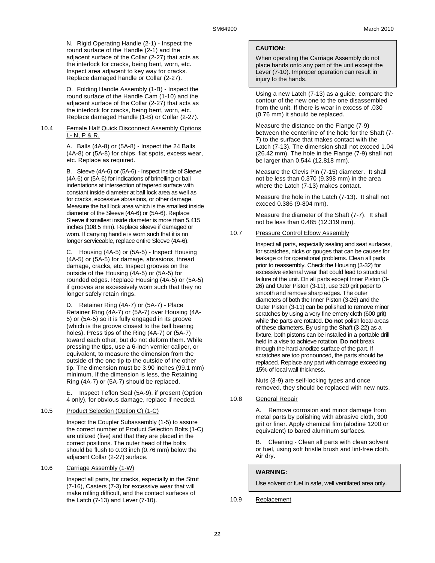N. Rigid Operating Handle (2-1) - Inspect the round surface of the Handle (2-1) and the adjacent surface of the Collar (2-27) that acts as the interlock for cracks, being bent, worn, etc. Inspect area adjacent to key way for cracks. Replace damaged handle or Collar (2-27).

O. Folding Handle Assembly (1-B) - Inspect the round surface of the Handle Cam (1-10) and the adjacent surface of the Collar (2-27) that acts as the interlock for cracks, being bent, worn, etc. Replace damaged Handle (1-B) or Collar (2-27).

#### 10.4 Female Half Quick Disconnect Assembly Options L- N, P & R.

A. Balls (4A-8) or (5A-8) - Inspect the 24 Balls (4A-8) or (5A-8) for chips, flat spots, excess wear, etc. Replace as required.

B. Sleeve (4A-6) or (5A-6) - Inspect inside of Sleeve (4A-6) or (5A-6) for indications of brinelling or ball indentations at intersection of tapered surface with constant inside diameter at ball lock area as well as for cracks, excessive abrasions, or other damage. Measure the ball lock area which is the smallest inside diameter of the Sleeve (4A-6) or (5A-6). Replace Sleeve if smallest inside diameter is more than 5.415 inches (108.5 mm). Replace sleeve if damaged or worn. If carrying handle is worn such that it is no longer serviceable, replace entire Sleeve (4A-6).

C. Housing (4A-5) or (5A-5) - Inspect Housing (4A-5) or (5A-5) for damage, abrasions, thread damage, cracks, etc. Inspect grooves on the outside of the Housing (4A-5) or (5A-5) for rounded edges. Replace Housing (4A-5) or (5A-5) if grooves are excessively worn such that they no longer safely retain rings.

D. Retainer Ring (4A-7) or (5A-7) - Place Retainer Ring (4A-7) or (5A-7) over Housing (4A-5) or (5A-5) so it is fully engaged in its groove (which is the groove closest to the ball bearing holes). Press tips of the Ring (4A-7) or (5A-7) toward each other, but do not deform them. While pressing the tips, use a 6-inch vernier caliper, or equivalent, to measure the dimension from the outside of the one tip to the outside of the other tip. The dimension must be 3.90 inches (99.1 mm) minimum. If the dimension is less, the Retaining Ring (4A-7) or (5A-7) should be replaced.

E. Inspect Teflon Seal (5A-9), if present (Option 4 only), for obvious damage, replace if needed.

## 10.5 Product Selection (Option C) (1-C)

Inspect the Coupler Subassembly (1-5) to assure the correct number of Product Selection Bolts (1-C) are utilized (five) and that they are placed in the correct positions. The outer head of the bolts should be flush to 0.03 inch (0.76 mm) below the adjacent Collar (2-27) surface.

## 10.6 Carriage Assembly (1-W)

Inspect all parts, for cracks, especially in the Strut (7-16), Casters (7-3) for excessive wear that will make rolling difficult, and the contact surfaces of the Latch  $(7-13)$  and Lever  $(7-10)$ .

## **CAUTION:**

When operating the Carriage Assembly do not place hands onto any part of the unit except the Lever (7-10). Improper operation can result in injury to the hands.

Using a new Latch (7-13) as a guide, compare the contour of the new one to the one disassembled from the unit. If there is wear in excess of .030 (0.76 mm) it should be replaced.

Measure the distance on the Flange (7-9) between the centerline of the hole for the Shaft (7- 7) to the surface that makes contact with the Latch (7-13). The dimension shall not exceed 1.04 (26.42 mm). The hole in the Flange (7-9) shall not be larger than 0.544 (12.818 mm).

Measure the Clevis Pin (7-15) diameter. It shall not be less than 0.370 (9.398 mm) in the area where the Latch (7-13) makes contact.

Measure the hole in the Latch (7-13). It shall not exceed 0.386 (9-804 mm).

Measure the diameter of the Shaft (7-7). It shall not be less than 0.485 (12.319 mm).

### 10.7 Pressure Control Elbow Assembly

Inspect all parts, especially sealing and seat surfaces, for scratches, nicks or gouges that can be causes for leakage or for operational problems. Clean all parts prior to reassembly. Check the Housing (3-32) for excessive external wear that could lead to structural failure of the unit. On all parts except Inner Piston (3- 26) and Outer Piston (3-11), use 320 grit paper to smooth and remove sharp edges. The outer diameters of both the Inner Piston (3-26) and the Outer Piston (3-11) can be polished to remove minor scratches by using a very fine emery cloth (600 grit) while the parts are rotated. **Do not** polish local areas of these diameters. By using the Shaft (3-22) as a fixture, both pistons can be installed in a portable drill held in a vise to achieve rotation. **Do not** break through the hard anodize surface of the part. If scratches are too pronounced, the parts should be replaced. Replace any part with damage exceeding 15% of local wall thickness.

Nuts (3-9) are self-locking types and once removed, they should be replaced with new nuts.

10.8 General Repair

A. Remove corrosion and minor damage from metal parts by polishing with abrasive cloth, 300 grit or finer. Apply chemical film (alodine 1200 or equivalent) to bared aluminum surfaces.

B. Cleaning - Clean all parts with clean solvent or fuel, using soft bristle brush and lint-free cloth. Air dry.

## **WARNING:**

Use solvent or fuel in safe, well ventilated area only.

## 10.9 Replacement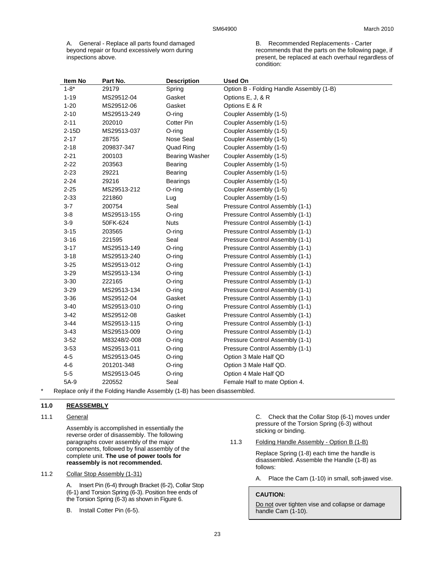A. General - Replace all parts found damaged beyond repair or found excessively worn during inspections above.

B. Recommended Replacements - Carter recommends that the parts on the following page, if present, be replaced at each overhaul regardless of condition:

| Item No   | Part No.     | <b>Description</b>    | <b>Used On</b>                           |
|-----------|--------------|-----------------------|------------------------------------------|
| $1 - 8^*$ | 29179        | Spring                | Option B - Folding Handle Assembly (1-B) |
| $1 - 19$  | MS29512-04   | Gasket                | Options E, J, & R                        |
| $1 - 20$  | MS29512-06   | Gasket                | Options E & R                            |
| $2 - 10$  | MS29513-249  | O-ring                | Coupler Assembly (1-5)                   |
| $2 - 11$  | 202010       | <b>Cotter Pin</b>     | Coupler Assembly (1-5)                   |
| $2-15D$   | MS29513-037  | O-ring                | Coupler Assembly (1-5)                   |
| $2 - 17$  | 28755        | Nose Seal             | Coupler Assembly (1-5)                   |
| $2 - 18$  | 209837-347   | Quad Ring             | Coupler Assembly (1-5)                   |
| $2 - 21$  | 200103       | <b>Bearing Washer</b> | Coupler Assembly (1-5)                   |
| $2 - 22$  | 203563       | Bearing               | Coupler Assembly (1-5)                   |
| $2 - 23$  | 29221        | Bearing               | Coupler Assembly (1-5)                   |
| $2 - 24$  | 29216        | Bearings              | Coupler Assembly (1-5)                   |
| $2 - 25$  | MS29513-212  | O-ring                | Coupler Assembly (1-5)                   |
| $2 - 33$  | 221860       | Lug                   | Coupler Assembly (1-5)                   |
| $3 - 7$   | 200754       | Seal                  | Pressure Control Assembly (1-1)          |
| $3 - 8$   | MS29513-155  | O-ring                | Pressure Control Assembly (1-1)          |
| $3-9$     | 50FK-624     | <b>Nuts</b>           | Pressure Control Assembly (1-1)          |
| $3 - 15$  | 203565       | $O$ -ring             | Pressure Control Assembly (1-1)          |
| $3 - 16$  | 221595       | Seal                  | Pressure Control Assembly (1-1)          |
| $3 - 17$  | MS29513-149  | O-ring                | Pressure Control Assembly (1-1)          |
| $3 - 18$  | MS29513-240  | $O$ -ring             | Pressure Control Assembly (1-1)          |
| $3 - 25$  | MS29513-012  | $O$ -ring             | Pressure Control Assembly (1-1)          |
| $3 - 29$  | MS29513-134  | O-ring                | Pressure Control Assembly (1-1)          |
| $3 - 30$  | 222165       | O-ring                | Pressure Control Assembly (1-1)          |
| $3 - 29$  | MS29513-134  | O-ring                | Pressure Control Assembly (1-1)          |
| $3 - 36$  | MS29512-04   | Gasket                | Pressure Control Assembly (1-1)          |
| $3 - 40$  | MS29513-010  | O-ring                | Pressure Control Assembly (1-1)          |
| $3 - 42$  | MS29512-08   | Gasket                | Pressure Control Assembly (1-1)          |
| $3 - 44$  | MS29513-115  | O-ring                | Pressure Control Assembly (1-1)          |
| $3 - 43$  | MS29513-009  | O-ring                | Pressure Control Assembly (1-1)          |
| $3 - 52$  | M83248/2-008 | O-ring                | Pressure Control Assembly (1-1)          |
| $3 - 53$  | MS29513-011  | O-ring                | Pressure Control Assembly (1-1)          |
| $4 - 5$   | MS29513-045  | O-ring                | Option 3 Male Half QD                    |
| $4 - 6$   | 201201-348   | O-ring                | Option 3 Male Half QD.                   |
| $5-5$     | MS29513-045  | O-ring                | Option 4 Male Half QD                    |
| 5A-9      | 220552       | Seal                  | Female Half to mate Option 4.            |

Replace only if the Folding Handle Assembly (1-B) has been disassembled.

#### **11.0 REASSEMBLY**

#### 11.1 General

Assembly is accomplished in essentially the reverse order of disassembly. The following paragraphs cover assembly of the major components, followed by final assembly of the complete unit. **The use of power tools for reassembly is not recommended.** 

## 11.2 Collar Stop Assembly (1-31)

A. Insert Pin (6-4) through Bracket (6-2), Collar Stop (6-1) and Torsion Spring (6-3). Position free ends of the Torsion Spring (6-3) as shown in Figure 6.

B. Install Cotter Pin (6-5).

C. Check that the Collar Stop (6-1) moves under pressure of the Torsion Spring (6-3) without sticking or binding.

11.3 Folding Handle Assembly - Option B (1-B)

Replace Spring (1-8) each time the handle is disassembled. Assemble the Handle (1-B) as follows:

A. Place the Cam (1-10) in small, soft-jawed vise.

#### **CAUTION:**

Do not over tighten vise and collapse or damage handle Cam (1-10).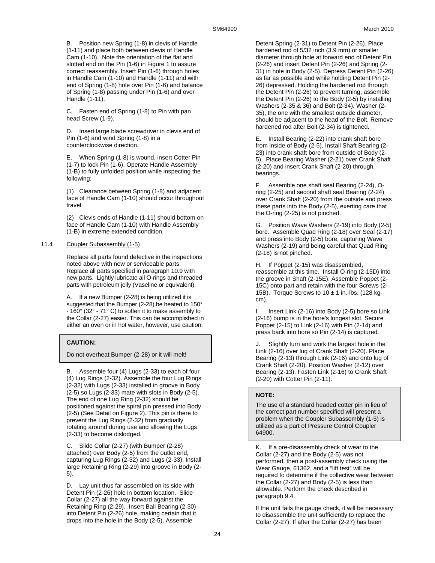B. Position new Spring (1-8) in clevis of Handle (1-11) and place both between clevis of Handle Cam (1-10). Note the orientation of the flat and slotted end on the Pin (1-6) in Figure 1 to assure correct reassembly. Insert Pin (1-6) through holes in Handle Cam (1-10) and Handle (1-11) and with end of Spring (1-8) hole over Pin (1-6) and balance of Spring (1-8) passing under Pin (1-6) and over Handle (1-11).

C. Fasten end of Spring (1-8) to Pin with pan head Screw (1-9).

D. Insert large blade screwdriver in clevis end of Pin (1-6) and wind Spring (1-8) in a counterclockwise direction.

E. When Spring (1-8) is wound, insert Cotter Pin (1-7) to lock Pin (1-6). Operate Handle Assembly (1-B) to fully unfolded position while inspecting the following:

(1) Clearance between Spring (1-8) and adjacent face of Handle Cam (1-10) should occur throughout travel.

(2) Clevis ends of Handle (1-11) should bottom on face of Handle Cam (1-10) with Handle Assembly (1-B) in extreme extended condition.

### 11.4 Coupler Subassembly (1-5)

Replace all parts found defective in the inspections noted above with new or serviceable parts. Replace all parts specified in paragraph 10.9 with new parts. Lightly lubricate all O-rings and threaded parts with petroleum jelly (Vaseline or equivalent).

A. If a new Bumper (2-28) is being utilized it is suggested that the Bumper (2-28) be heated to 150° - 160° (32° - 71° C) to soften it to make assembly to the Collar (2-27) easier. This can be accomplished in either an oven or in hot water, however, use caution.

## **CAUTION:**

Do not overheat Bumper (2-28) or it will melt!

B. Assemble four (4) Lugs (2-33) to each of four (4) Lug Rings (2-32). Assemble the four Lug Rings (2-32) with Lugs (2-33) installed in groove in Body (2-5) so Lugs (2-33) mate with slots in Body (2-5). The end of one Lug Ring (2-32) should be positioned against the spiral pin pressed into Body (2-5) (See Detail on Figure 2). This pin is there to prevent the Lug Rings (2-32) from gradually rotating around during use and allowing the Lugs (2-33) to become dislodged.

C. Slide Collar (2-27) (with Bumper (2-28) attached) over Body (2-5) from the outlet end, capturing Lug Rings (2-32) and Lugs (2-33). Install large Retaining Ring (2-29) into groove in Body (2- 5).

D. Lay unit thus far assembled on its side with Detent Pin (2-26) hole in bottom location. Slide Collar (2-27) all the way forward against the Retaining Ring (2-29). Insert Ball Bearing (2-30) into Detent Pin (2-26) hole, making certain that it drops into the hole in the Body (2-5). Assemble

Detent Spring (2-31) to Detent Pin (2-26). Place hardened rod of 5/32 inch (3.9 mm) or smaller diameter through hole at forward end of Detent Pin (2-26) and insert Detent Pin (2-26) and Spring (2- 31) in hole in Body (2-5). Depress Detent Pin (2-26) as far as possible and while holding Detent Pin (2- 26) depressed. Holding the hardened rod through the Detent Pin (2-26) to prevent turning, assemble the Detent Pin (2-26) to the Body (2-5) by installing Washers (2-35 & 36) and Bolt (2-34). Washer (2- 35), the one with the smallest outside diameter, should be adjacent to the head of the Bolt. Remove hardened rod after Bolt (2-34) is tightened.

E. Install Bearing (2-22) into crank shaft bore from inside of Body (2-5). Install Shaft Bearing (2- 23) into crank shaft bore from outside of Body (2- 5). Place Bearing Washer (2-21) over Crank Shaft (2-20) and insert Crank Shaft (2-20) through bearings.

F. Assemble one shaft seal Bearing (2-24), Oring (2-25) and second shaft seal Bearing (2-24) over Crank Shaft (2-20) from the outside and press these parts into the Body (2-5), exerting care that the O-ring (2-25) is not pinched.

G. Position Wave Washers (2-19) into Body (2-5) bore. Assemble Quad Ring (2-18) over Seal (2-17) and press into Body (2-5) bore, capturing Wave Washers (2-19) and being careful that Quad Ring (2-18) is not pinched.

H. If Poppet (2-15) was disassembled, reassemble at this time. Install O-ring (2-15D) into the groove in Shaft (2-15E). Assemble Poppet (2- 15C) onto part and retain with the four Screws (2- 15B). Torque Screws to  $10 \pm 1$  in.-lbs. (128 kgcm).

I. Insert Link (2-16) into Body (2-5) bore so Link (2-16) bump is in the bore's longest slot. Secure Poppet (2-15) to Link (2-16) with Pin (2-14) and press back into bore so Pin (2-14) is captured.

J. Slightly turn and work the largest hole in the Link (2-16) over lug of Crank Shaft (2-20). Place Bearing (2-13) through Link (2-16) and onto lug of Crank Shaft (2-20). Position Washer (2-12) over Bearing (2-13). Fasten Link (2-16) to Crank Shaft (2-20) with Cotter Pin (2-11).

## **NOTE:**

The use of a standard headed cotter pin in lieu of the correct part number specified will present a problem when the Coupler Subassembly (1-5) is utilized as a part of Pressure Control Coupler 64900.

K. If a pre-disassembly check of wear to the Collar (2-27) and the Body (2-5) was not performed, then a post-assembly check using the Wear Gauge, 61362, and a "lift test" will be required to determine if the collective wear between the Collar (2-27) and Body (2-5) is less than allowable. Perform the check described in paragraph 9.4.

If the unit fails the gauge check, it will be necessary to disassemble the unit sufficiently to replace the Collar (2-27). If after the Collar (2-27) has been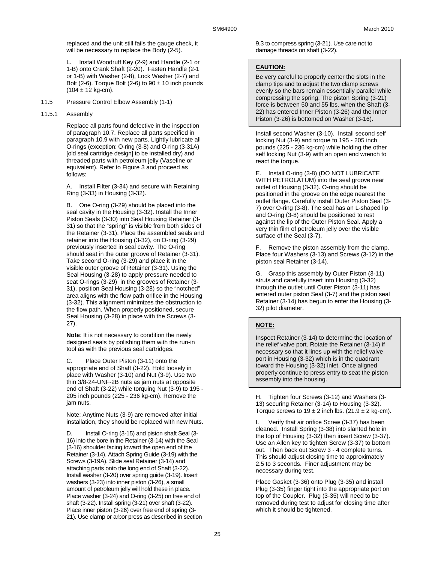replaced and the unit still fails the gauge check, it will be necessary to replace the Body (2-5).

L. Install Woodruff Key (2-9) and Handle (2-1 or 1-B) onto Crank Shaft (2-20). Fasten Handle (2-1 or 1-B) with Washer (2-8), Lock Washer (2-7) and Bolt (2-6). Torque Bolt (2-6) to  $90 \pm 10$  inch pounds  $(104 \pm 12 \text{ kg-cm}).$ 

### 11.5 Pressure Control Elbow Assembly (1-1)

#### 11.5.1 Assembly

Replace all parts found defective in the inspection of paragraph 10.7. Replace all parts specified in paragraph 10.9 with new parts. Lightly lubricate all O-rings (exception: O-ring (3-8) and O-ring (3-31A) [old seal cartridge design] to be installed dry) and threaded parts with petroleum jelly (Vaseline or equivalent). Refer to Figure 3 and proceed as follows:

A. Install Filter (3-34) and secure with Retaining Ring (3-33) in Housing (3-32).

B. One O-ring (3-29) should be placed into the seal cavity in the Housing (3-32). Install the Inner Piston Seals (3-30) into Seal Housing Retainer (3- 31) so that the "spring" is visible from both sides of the Retainer (3-31). Place the assembled seals and retainer into the Housing (3-32), on O-ring (3-29) previously inserted in seal cavity. The O-ring should seat in the outer groove of Retainer (3-31). Take second O-ring (3-29) and place it in the visible outer groove of Retainer (3-31). Using the Seal Housing (3-28) to apply pressure needed to seat O-rings (3-29) in the grooves of Retainer (3- 31), position Seal Housing (3-28) so the "notched" area aligns with the flow path orifice in the Housing (3-32). This alignment minimizes the obstruction to the flow path. When properly positioned, secure Seal Housing (3-28) in place with the Screws (3- 27).

**Note**: It is not necessary to condition the newly designed seals by polishing them with the run-in tool as with the previous seal cartridges.

C. Place Outer Piston (3-11) onto the appropriate end of Shaft (3-22). Hold loosely in place with Washer (3-10) and Nut (3-9). Use two thin 3/8-24-UNF-2B nuts as jam nuts at opposite end of Shaft (3-22) while torquing Nut (3-9) to 195 -205 inch pounds (225 - 236 kg-cm). Remove the jam nuts.

Note: Anytime Nuts (3-9) are removed after initial installation, they should be replaced with new Nuts.

D. Install O-ring (3-15) and piston shaft Seal (3- 16) into the bore in the Retainer (3-14) with the Seal (3-16) shoulder facing toward the open end of the Retainer (3-14). Attach Spring Guide (3-19) with the Screws (3-19A). Slide seal Retainer (3-14) and attaching parts onto the long end of Shaft (3-22). Install washer (3-20) over spring guide (3-19). Insert washers (3-23) into inner piston (3-26), a small amount of petroleum jelly will hold these in place. Place washer (3-24) and O-ring (3-25) on free end of shaft (3-22). Install spring (3-21) over shaft (3-22). Place inner piston (3-26) over free end of spring (3- 21). Use clamp or arbor press as described in section 9.3 to compress spring (3-21). Use care not to damage threads on shaft (3-22).

#### **CAUTION:**

Be very careful to properly center the slots in the clamp tips and to adjust the two clamp screws evenly so the bars remain essentially parallel while compressing the spring. The piston Spring (3-21) force is between 50 and 55 lbs. when the Shaft (3- 22) has entered Inner Piston (3-26) and the Inner Piston (3-26) is bottomed on Washer (3-16).

Install second Washer (3-10). Install second self locking Nut (3-9) and torque to 195 - 205 inch pounds (225 - 236 kg-cm) while holding the other self locking Nut (3-9) with an open end wrench to react the torque.

E. Install O-ring (3-8) (DO NOT LUBRICATE WITH PETROLATUM) into the seal groove near outlet of Housing (3-32). O-ring should be positioned in the groove on the edge nearest the outlet flange. Carefully install Outer Piston Seal (3- 7) over O-ring (3-8). The seal has an L-shaped lip and O-ring (3-8) should be positioned to rest against the lip of the Outer Piston Seal. Apply a very thin film of petroleum jelly over the visible surface of the Seal (3-7).

F. Remove the piston assembly from the clamp. Place four Washers (3-13) and Screws (3-12) in the piston seal Retainer (3-14).

G. Grasp this assembly by Outer Piston (3-11) struts and carefully insert into Housing (3-32) through the outlet until Outer Piston (3-11) has entered outer piston Seal (3-7) and the piston seal Retainer (3-14) has begun to enter the Housing (3- 32) pilot diameter.

#### **NOTE:**

Inspect Retainer (3-14) to determine the location of the relief valve port. Rotate the Retainer (3-14) if necessary so that it lines up with the relief valve port in Housing (3-32) which is in the quadrant toward the Housing (3-32) inlet. Once aligned properly continue to press entry to seat the piston assembly into the housing.

H. Tighten four Screws (3-12) and Washers (3- 13) securing Retainer (3-14) to Housing (3-32). Torque screws to  $19 \pm 2$  inch lbs. (21.9  $\pm$  2 kg-cm).

I. Verify that air orifice Screw (3-37) has been cleaned. Install Spring (3-38) into slanted hole in the top of Housing (3-32) then insert Screw (3-37). Use an Allen key to tighten Screw (3-37) to bottom out. Then back out Screw 3 - 4 complete turns. This should adjust closing time to approximately 2.5 to 3 seconds. Finer adjustment may be necessary during test.

Place Gasket (3-36) onto Plug (3-35) and install Plug (3-35) finger tight into the appropriate port on top of the Coupler. Plug (3-35) will need to be removed during test to adjust for closing time after which it should be tightened.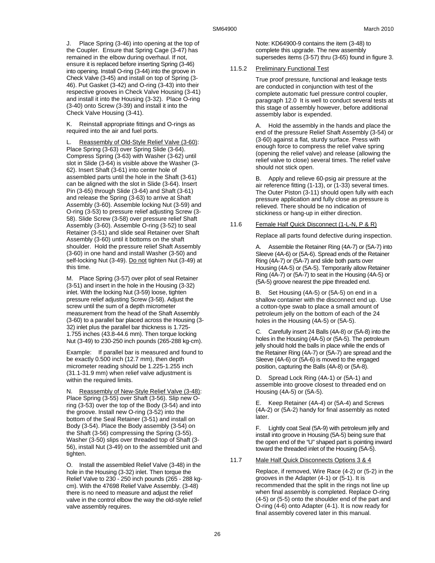J. Place Spring (3-46) into opening at the top of the Coupler. Ensure that Spring Cage (3-47) has remained in the elbow during overhaul. If not, ensure it is replaced before inserting Spring (3-46) into opening. Install O-ring (3-44) into the groove in Check Valve (3-45) and install on top of Spring (3- 46). Put Gasket (3-42) and O-ring (3-43) into their respective grooves in Check Valve Housing (3-41) and install it into the Housing (3-32). Place O-ring (3-40) onto Screw (3-39) and install it into the Check Valve Housing (3-41).

K. Reinstall appropriate fittings and O-rings as required into the air and fuel ports.

Reassembly of Old-Style Relief Valve (3-60): Place Spring (3-63) over Spring Slide (3-64). Compress Spring (3-63) with Washer (3-62) until slot in Slide (3-64) is visible above the Washer (3- 62). Insert Shaft (3-61) into center hole of assembled parts until the hole in the Shaft (3-61) can be aligned with the slot in Slide (3-64). Insert Pin (3-65) through Slide (3-64) and Shaft (3-61) and release the Spring (3-63) to arrive at Shaft Assembly (3-60). Assemble locking Nut (3-59) and O-ring (3-53) to pressure relief adjusting Screw (3- 58). Slide Screw (3-58) over pressure relief Shaft Assembly (3-60). Assemble O-ring (3-52) to seal Retainer (3-51) and slide seal Retainer over Shaft Assembly (3-60) until it bottoms on the shaft shoulder. Hold the pressure relief Shaft Assembly (3-60) in one hand and install Washer (3-50) and self-locking Nut (3-49). Do not tighten Nut (3-49) at this time.

M. Place Spring (3-57) over pilot of seal Retainer (3-51) and insert in the hole in the Housing (3-32) inlet. With the locking Nut (3-59) loose, tighten pressure relief adjusting Screw (3-58). Adjust the screw until the sum of a depth micrometer measurement from the head of the Shaft Assembly (3-60) to a parallel bar placed across the Housing (3- 32) inlet plus the parallel bar thickness is 1.725- 1.755 inches (43.8-44.6 mm). Then torque locking Nut (3-49) to 230-250 inch pounds (265-288 kg-cm).

Example: If parallel bar is measured and found to be exactly 0.500 inch (12.7 mm), then depth micrometer reading should be 1.225-1.255 inch (31.1-31.9 mm) when relief valve adjustment is within the required limits.

N. Reassembly of New-Style Relief Valve (3-48): Place Spring (3-55) over Shaft (3-56). Slip new Oring (3-53) over the top of the Body (3-54) and into the groove. Install new O-ring (3-52) into the bottom of the Seal Retainer (3-51) and install on Body (3-54). Place the Body assembly (3-54) on the Shaft (3-56) compressing the Spring (3-55). Washer (3-50) slips over threaded top of Shaft (3- 56), install Nut (3-49) on to the assembled unit and tighten.

O. Install the assembled Relief Valve (3-48) in the hole in the Housing (3-32) inlet. Then torque the Relief Valve to 230 - 250 inch pounds (265 - 288 kgcm). With the 47698 Relief Valve Assembly. (3-48) there is no need to measure and adjust the relief valve in the control elbow the way the old-style relief valve assembly requires.

Note: KD64900-9 contains the item (3-48) to complete this upgrade. The new assembly supersedes items (3-57) thru (3-65) found in figure 3.

#### 11.5.2 Preliminary Functional Test

True proof pressure, functional and leakage tests are conducted in conjunction with test of the complete automatic fuel pressure control coupler, paragraph 12.0 It is well to conduct several tests at this stage of assembly however, before additional assembly labor is expended.

A. Hold the assembly in the hands and place the end of the pressure Relief Shaft Assembly (3-54) or (3-60) against a flat, sturdy surface. Press with enough force to compress the relief valve spring (opening the relief valve) and release (allowing the relief valve to close) several times. The relief valve should not stick open.

B. Apply and relieve 60-psig air pressure at the air reference fitting (1-13), or (1-33) several times. The Outer Piston (3-11) should open fully with each pressure application and fully close as pressure is relieved. There should be no indication of stickiness or hang-up in either direction.

#### 11.6 Female Half Quick Disconnect (1-L-N, P & R)

Replace all parts found defective during inspection.

Assemble the Retainer Ring (4A-7) or (5A-7) into Sleeve (4A-6) or (5A-6). Spread ends of the Retainer Ring (4A-7) or (5A-7) and slide both parts over Housing (4A-5) or (5A-5). Temporarily allow Retainer Ring (4A-7) or (5A-7) to seat in the Housing (4A-5) or (5A-5) groove nearest the pipe threaded end.

B. Set Housing (4A-5) or (5A-5) on end in a shallow container with the disconnect end up. Use a cotton-type swab to place a small amount of petroleum jelly on the bottom of each of the 24 holes in the Housing (4A-5) or (5A-5).

C. Carefully insert 24 Balls (4A-8) or (5A-8) into the holes in the Housing (4A-5) or (5A-5). The petroleum jelly should hold the balls in place while the ends of the Retainer Ring (4A-7) or (5A-7) are spread and the Sleeve (4A-6) or (5A-6) is moved to the engaged position, capturing the Balls (4A-8) or (5A-8).

D. Spread Lock Ring (4A-1) or (5A-1) and assemble into groove closest to threaded end on Housing (4A-5) or (5A-5).

E. Keep Retainer (4A-4) or (5A-4) and Screws (4A-2) or (5A-2) handy for final assembly as noted later.

F. Lightly coat Seal (5A-9) with petroleum jelly and install into groove in Housing (5A-5) being sure that the open end of the "U" shaped part is pointing inward toward the threaded inlet of the Housing (5A-5).

11.7 Male Half Quick Disconnects Options 3 & 4

Replace, if removed, Wire Race (4-2) or (5-2) in the grooves in the Adapter (4-1) or (5-1). It is recommended that the split in the rings not line up when final assembly is completed. Replace O-ring (4-5) or (5-5) onto the shoulder end of the part and O-ring (4-6) onto Adapter (4-1). It is now ready for final assembly covered later in this manual.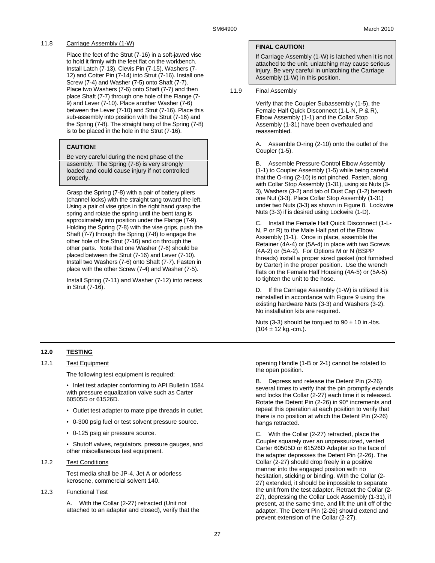## 11.8 Carriage Assembly (1-W)

Place the feet of the Strut (7-16) in a soft-jawed vise to hold it firmly with the feet flat on the workbench. Install Latch (7-13), Clevis Pin (7-15), Washers (7- 12) and Cotter Pin (7-14) into Strut (7-16). Install one Screw (7-4) and Washer (7-5) onto Shaft (7-7). Place two Washers (7-6) onto Shaft (7-7) and then place Shaft (7-7) through one hole of the Flange (7- 9) and Lever (7-10). Place another Washer (7-6) between the Lever (7-10) and Strut (7-16). Place this sub-assembly into position with the Strut (7-16) and the Spring (7-8). The straight tang of the Spring (7-8) is to be placed in the hole in the Strut (7-16).

## **CAUTION!**

Be very careful during the next phase of the assembly. The Spring (7-8) is very strongly loaded and could cause injury if not controlled properly.

Grasp the Spring (7-8) with a pair of battery pliers (channel locks) with the straight tang toward the left. Using a pair of vise grips in the right hand grasp the spring and rotate the spring until the bent tang is approximately into position under the Flange (7-9). Holding the Spring (7-8) with the vise grips, push the Shaft (7-7) through the Spring (7-8) to engage the other hole of the Strut (7-16) and on through the other parts. Note that one Washer (7-6) should be placed between the Strut (7-16) and Lever (7-10). Install two Washers (7-6) onto Shaft (7-7). Fasten in place with the other Screw (7-4) and Washer (7-5).

Install Spring (7-11) and Washer (7-12) into recess in Strut (7-16).

## **FINAL CAUTION!**

If Carriage Assembly (1-W) is latched when it is not attached to the unit, unlatching may cause serious injury. Be very careful in unlatching the Carriage Assembly (1-W) in this position.

## 11.9 Final Assembly

Verify that the Coupler Subassembly (1-5), the Female Half Quick Disconnect (1-L-N, P & R), Elbow Assembly (1-1) and the Collar Stop Assembly (1-31) have been overhauled and reassembled.

A. Assemble O-ring (2-10) onto the outlet of the Coupler (1-5).

B. Assemble Pressure Control Elbow Assembly (1-1) to Coupler Assembly (1-5) while being careful that the O-ring (2-10) is not pinched. Fasten, along with Collar Stop Assembly (1-31), using six Nuts (3- 3), Washers (3-2) and tab of Dust Cap (1-2) beneath one Nut (3-3). Place Collar Stop Assembly (1-31) under two Nuts (3-3) as shown in Figure 8. Lockwire Nuts (3-3) if is desired using Lockwire (1-D).

C. Install the Female Half Quick Disconnect (1-L-N, P or R) to the Male Half part of the Elbow Assembly (1-1). Once in place, assemble the Retainer (4A-4) or (5A-4) in place with two Screws (4A-2) or (5A-2). For Options M or N (BSPP threads) install a proper sized gasket (not furnished by Carter) in the proper position. Use the wrench flats on the Female Half Housing (4A-5) or (5A-5) to tighten the unit to the hose.

D. If the Carriage Assembly (1-W) is utilized it is reinstalled in accordance with Figure 9 using the existing hardware Nuts (3-3) and Washers (3-2). No installation kits are required.

Nuts (3-3) should be torqued to  $90 \pm 10$  in.-lbs.  $(104 \pm 12 \text{ kg.-cm.}).$ 

## **12.0 TESTING**

## 12.1 Test Equipment

The following test equipment is required:

• Inlet test adapter conforming to API Bulletin 1584 with pressure equalization valve such as Carter 60505D or 61526D.

- Outlet test adapter to mate pipe threads in outlet.
- 0-300 psig fuel or test solvent pressure source.
- 0-125 psig air pressure source.

• Shutoff valves, regulators, pressure gauges, and other miscellaneous test equipment.

## 12.2 Test Conditions

Test media shall be JP-4, Jet A or odorless kerosene, commercial solvent 140.

## 12.3 Functional Test

A. With the Collar (2-27) retracted (Unit not attached to an adapter and closed), verify that the opening Handle (1-B or 2-1) cannot be rotated to the open position.

B. Depress and release the Detent Pin (2-26) several times to verify that the pin promptly extends and locks the Collar (2-27) each time it is released. Rotate the Detent Pin (2-26) in 90° increments and repeat this operation at each position to verify that there is no position at which the Detent Pin (2-26) hangs retracted.

C. With the Collar (2-27) retracted, place the Coupler squarely over an unpressurized, vented Carter 60505D or 61526D Adapter so the face of the adapter depresses the Detent Pin (2-26). The Collar (2-27) should drop freely in a positive manner into the engaged position with no hesitation, sticking or binding. With the Collar (2- 27) extended, it should be impossible to separate the unit from the test adapter. Retract the Collar (2- 27), depressing the Collar Lock Assembly (1-31), if present, at the same time, and lift the unit off of the adapter. The Detent Pin (2-26) should extend and prevent extension of the Collar (2-27).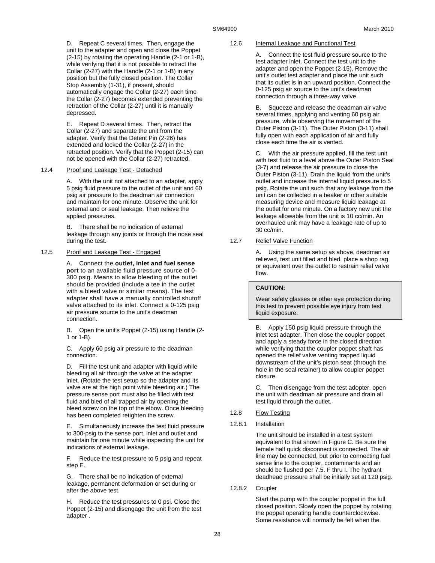D. Repeat C several times. Then, engage the unit to the adapter and open and close the Poppet (2-15) by rotating the operating Handle (2-1 or 1-B), while verifying that it is not possible to retract the Collar (2-27) with the Handle (2-1 or 1-B) in any position but the fully closed position. The Collar Stop Assembly (1-31), if present, should automatically engage the Collar (2-27) each time the Collar (2-27) becomes extended preventing the retraction of the Collar (2-27) until it is manually depressed.

E. Repeat D several times. Then, retract the Collar (2-27) and separate the unit from the adapter. Verify that the Detent Pin (2-26) has extended and locked the Collar (2-27) in the retracted position. Verify that the Poppet (2-15) can not be opened with the Collar (2-27) retracted.

#### 12.4 Proof and Leakage Test - Detached

A. With the unit not attached to an adapter, apply 5 psig fluid pressure to the outlet of the unit and 60 psig air pressure to the deadman air connection and maintain for one minute. Observe the unit for external and or seal leakage. Then relieve the applied pressures.

B. There shall be no indication of external leakage through any joints or through the nose seal during the test.

#### 12.5 Proof and Leakage Test - Engaged

A. Connect the **outlet, inlet and fuel sense port** to an available fluid pressure source of 0- 300 psig. Means to allow bleeding of the outlet should be provided (include a tee in the outlet with a bleed valve or similar means). The test adapter shall have a manually controlled shutoff valve attached to its inlet. Connect a 0-125 psig air pressure source to the unit's deadman connection.

B. Open the unit's Poppet (2-15) using Handle (2- 1 or 1-B).

C. Apply 60 psig air pressure to the deadman connection.

D. Fill the test unit and adapter with liquid while bleeding all air through the valve at the adapter inlet. (Rotate the test setup so the adapter and its valve are at the high point while bleeding air.) The pressure sense port must also be filled with test fluid and bled of all trapped air by opening the bleed screw on the top of the elbow. Once bleeding has been completed retighten the screw.

E. Simultaneously increase the test fluid pressure to 300-psig to the sense port, inlet and outlet and maintain for one minute while inspecting the unit for indications of external leakage.

F. Reduce the test pressure to 5 psig and repeat step E.

G. There shall be no indication of external leakage, permanent deformation or set during or after the above test.

H. Reduce the test pressures to 0 psi. Close the Poppet (2-15) and disengage the unit from the test adapter .

#### 12.6 Internal Leakage and Functional Test

A. Connect the test fluid pressure source to the test adapter inlet. Connect the test unit to the adapter and open the Poppet (2-15). Remove the unit's outlet test adapter and place the unit such that its outlet is in an upward position. Connect the 0-125 psig air source to the unit's deadman connection through a three-way valve.

B. Squeeze and release the deadman air valve several times, applying and venting 60 psig air pressure, while observing the movement of the Outer Piston (3-11). The Outer Piston (3-11) shall fully open with each application of air and fully close each time the air is vented.

C. With the air pressure applied, fill the test unit with test fluid to a level above the Outer Piston Seal (3-7) and release the air pressure to close the Outer Piston (3-11). Drain the liquid from the unit's outlet and increase the internal liquid pressure to 5 psig. Rotate the unit such that any leakage from the unit can be collected in a beaker or other suitable measuring device and measure liquid leakage at the outlet for one minute. On a factory new unit the leakage allowable from the unit is 10 cc/min. An overhauled unit may have a leakage rate of up to 30 cc/min.

#### 12.7 Relief Valve Function

A. Using the same setup as above, deadman air relieved, test unit filled and bled, place a shop rag or equivalent over the outlet to restrain relief valve flow.

#### **CAUTION:**

Wear safety glasses or other eye protection during this test to prevent possible eye injury from test liquid exposure.

B. Apply 150 psig liquid pressure through the inlet test adapter. Then close the coupler poppet and apply a steady force in the closed direction while verifying that the coupler poppet shaft has opened the relief valve venting trapped liquid downstream of the unit's piston seat (through the hole in the seal retainer) to allow coupler poppet closure.

C. Then disengage from the test adopter, open the unit with deadman air pressure and drain all test liquid through the outlet.

- 12.8 Flow Testing
- 12.8.1 Installation

The unit should be installed in a test system equivalent to that shown in Figure C. Be sure the female half quick disconnect is connected. The air line may be connected, but prior to connecting fuel sense line to the coupler, contaminants and air should be flushed per 7.5. F thru I. The hydrant deadhead pressure shall be initially set at 120 psig.

12.8.2 Coupler

Start the pump with the coupler poppet in the full closed position. Slowly open the poppet by rotating the poppet operating handle counterclockwise. Some resistance will normally be felt when the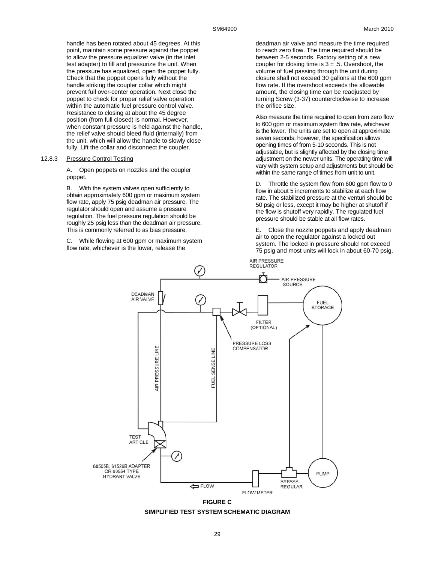handle has been rotated about 45 degrees. At this point, maintain some pressure against the poppet to allow the pressure equalizer valve (in the inlet test adapter) to fill and pressurize the unit. When the pressure has equalized, open the poppet fully. Check that the poppet opens fully without the handle striking the coupler collar which might prevent full over-center operation. Next close the poppet to check for proper relief valve operation within the automatic fuel pressure control valve. Resistance to closing at about the 45 degree position (from full closed) is normal. However, when constant pressure is held against the handle, the relief valve should bleed fluid (internally) from the unit, which will allow the handle to slowly close fully. Lift the collar and disconnect the coupler.

#### 12.8.3 Pressure Control Testing

A. Open poppets on nozzles and the coupler poppet.

B. With the system valves open sufficiently to obtain approximately 600 gpm or maximum system flow rate, apply 75 psig deadman air pressure. The regulator should open and assume a pressure regulation. The fuel pressure regulation should be roughly 25 psig less than the deadman air pressure. This is commonly referred to as bias pressure.

C. While flowing at 600 gpm or maximum system flow rate, whichever is the lower, release the

deadman air valve and measure the time required to reach zero flow. The time required should be between 2-5 seconds. Factory setting of a new coupler for closing time is  $3 \pm .5$ . Overshoot, the volume of fuel passing through the unit during closure shall not exceed 30 gallons at the 600 gpm flow rate. If the overshoot exceeds the allowable amount, the closing time can be readjusted by turning Screw (3-37) counterclockwise to increase the orifice size.

Also measure the time required to open from zero flow to 600 gpm or maximum system flow rate, whichever is the lower. The units are set to open at approximate seven seconds; however, the specification allows opening times of from 5-10 seconds. This is not adjustable, but is slightly affected by the closing time adjustment on the newer units. The operating time will vary with system setup and adjustments but should be within the same range of times from unit to unit.

D. Throttle the system flow from 600 gpm flow to 0 flow in about 5 increments to stabilize at each flow rate. The stabilized pressure at the venturi should be 50 psig or less, except it may be higher at shutoff if the flow is shutoff very rapidly. The regulated fuel pressure should be stable at all flow rates.

E. Close the nozzle poppets and apply deadman air to open the regulator against a locked out system. The locked in pressure should not exceed 75 psig and most units will lock in about 60-70 psig.



**FIGURE C SIMPLIFIED TEST SYSTEM SCHEMATIC DIAGRAM**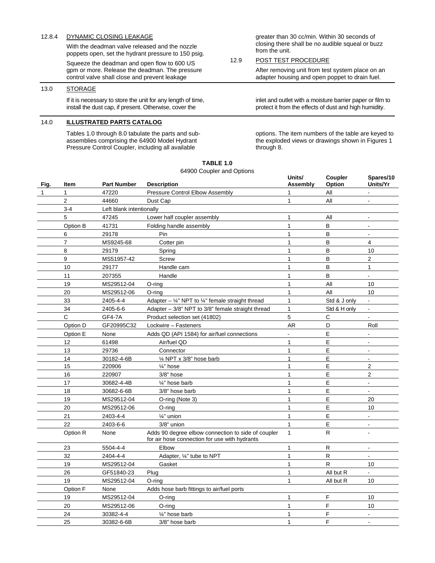## 12.8.4 DYNAMIC CLOSING LEAKAGE

With the deadman valve released and the nozzle poppets open, set the hydrant pressure to 150 psig.

Squeeze the deadman and open flow to 600 US gpm or more. Release the deadman. The pressure control valve shall close and prevent leakage

#### 13.0 STORAGE

If it is necessary to store the unit for any length of time, install the dust cap, if present. Otherwise, cover the

## 14.0 **ILLUSTRATED PARTS CATALOG**

Tables 1.0 through 8.0 tabulate the parts and subassemblies comprising the 64900 Model Hydrant Pressure Control Coupler, including all available

greater than 30 cc/min. Within 30 seconds of closing there shall be no audible squeal or buzz from the unit.

### 12.9 POST TEST PROCEDURE

After removing unit from test system place on an adapter housing and open poppet to drain fuel.

inlet and outlet with a moisture barrier paper or film to protect it from the effects of dust and high humidity.

options. The item numbers of the table are keyed to the exploded views or drawings shown in Figures 1 through 8.

| 64900 Coupler and Options |                |                          |                                                                                                     |                    |                   |                       |
|---------------------------|----------------|--------------------------|-----------------------------------------------------------------------------------------------------|--------------------|-------------------|-----------------------|
| Fig.                      | <b>Item</b>    | <b>Part Number</b>       | <b>Description</b>                                                                                  | Units/<br>Assembly | Coupler<br>Option | Spares/10<br>Units/Yr |
| $\mathbf{1}$              | $\mathbf{1}$   | 47220                    | Pressure Control Elbow Assembly                                                                     | 1                  | All               | $\overline{a}$        |
|                           | $\overline{2}$ | 44660                    | Dust Cap                                                                                            | $\mathbf{1}$       | All               | $\blacksquare$        |
|                           | $3 - 4$        | Left blank intentionally |                                                                                                     |                    |                   |                       |
|                           | 5              | 47245                    | Lower half coupler assembly                                                                         | $\mathbf{1}$       | All               |                       |
|                           | Option B       | 41731                    | Folding handle assembly                                                                             | $\mathbf{1}$       | $\sf B$           | $\overline{a}$        |
|                           | 6              | 29178                    | Pin                                                                                                 | $\mathbf{1}$       | B                 | $\blacksquare$        |
|                           | $\overline{7}$ | MS9245-68                | Cotter pin                                                                                          | $\mathbf{1}$       | B                 | 4                     |
|                           | 8              | 29179                    | Spring                                                                                              | $\mathbf{1}$       | $\overline{B}$    | 10                    |
|                           | 9              | MS51957-42               | Screw                                                                                               | $\mathbf{1}$       | B                 | $\overline{2}$        |
|                           | 10             | 29177                    | Handle cam                                                                                          | $\mathbf{1}$       | B                 | $\mathbf{1}$          |
|                           | 11             | 207355                   | Handle                                                                                              | $\mathbf{1}$       | B                 | $\overline{a}$        |
|                           | 19             | MS29512-04               | $O$ -ring                                                                                           | $\mathbf{1}$       | All               | 10                    |
|                           | 20             | MS29512-06               | $O$ -ring                                                                                           | $\mathbf{1}$       | All               | 10                    |
|                           | 33             | 2405-4-4                 | Adapter – $\frac{1}{4}$ " NPT to $\frac{1}{4}$ " female straight thread                             | $\mathbf{1}$       | Std & J only      | $\blacksquare$        |
|                           | 34             | 2405-6-6                 | Adapter - 3/8" NPT to 3/8" female straight thread                                                   | $\mathbf{1}$       | Std & H only      | $\blacksquare$        |
|                           | C              | GF4-7A                   | Product selection set (41802)                                                                       | 5                  | $\mathsf{C}$      | $\overline{a}$        |
|                           | Option D       | GF20995C32               | Lockwire - Fasteners                                                                                | AR                 | D                 | Roll                  |
|                           | Option E       | None                     | Adds QD (API 1584) for air/fuel connections                                                         |                    | E                 | $\blacksquare$        |
|                           | 12             | 61498                    | Air/fuel QD                                                                                         | 1                  | $\mathsf E$       |                       |
|                           | 13             | 29736                    | Connector                                                                                           | $\mathbf{1}$       | E                 | $\blacksquare$        |
|                           | 14             | 30182-4-6B               | 1/4 NPT x 3/8" hose barb                                                                            | $\mathbf{1}$       | E                 |                       |
|                           | 15             | 220906                   | 1/ <sub>4</sub> " hose                                                                              | $\mathbf{1}$       | E                 | $\overline{c}$        |
|                           | 16             | 220907                   | $3/8$ " hose                                                                                        | $\mathbf{1}$       | E                 | $\overline{2}$        |
|                           | 17             | 30682-4-4B               | 1/4" hose barb                                                                                      | $\mathbf{1}$       | E                 | L,                    |
|                           | 18             | 30682-6-6B               | 3/8" hose barb                                                                                      | $\mathbf{1}$       | E                 | $\mathbf{r}$          |
|                           | 19             | MS29512-04               | O-ring (Note 3)                                                                                     | $\mathbf{1}$       | $\mathsf E$       | 20                    |
|                           | 20             | MS29512-06               | O-ring                                                                                              | $\mathbf{1}$       | E                 | 10                    |
|                           | 21             | 2403-4-4                 | 1/ <sub>4</sub> " union                                                                             | $\mathbf{1}$       | E                 | $\blacksquare$        |
|                           | 22             | 2403-6-6                 | 3/8" union                                                                                          | $\mathbf{1}$       | E                 |                       |
|                           | Option R       | None                     | Adds 90 degree elbow connection to side of coupler<br>for air hose connection for use with hydrants | $\mathbf{1}$       | R                 |                       |
|                           | 23             | 5504-4-4                 | Elbow                                                                                               | $\mathbf{1}$       | ${\sf R}$         | $\mathbf{r}$          |
|                           | 32             | 2404-4-4                 | Adapter, 1/4" tube to NPT                                                                           | $\mathbf{1}$       | R                 | $\blacksquare$        |
|                           | 19             | MS29512-04               | Gasket                                                                                              | $\mathbf{1}$       | $\mathsf{R}$      | 10                    |
|                           | 26             | GF51840-23               | Plug                                                                                                | $\mathbf{1}$       | All but R         |                       |
|                           | 19             | MS29512-04               | $O$ -ring                                                                                           | $\mathbf{1}$       | All but R         | 10                    |
|                           | Option F       | None                     | Adds hose barb fittings to air/fuel ports                                                           |                    |                   |                       |
|                           | 19             | MS29512-04               | O-ring                                                                                              | $\mathbf{1}$       | F                 | 10                    |
|                           | 20             | MS29512-06               | $O$ -ring                                                                                           | $\mathbf{1}$       | $\mathsf F$       | 10                    |
|                           | 24             | 30382-4-4                | 1/4" hose barb                                                                                      | $\mathbf{1}$       | F                 | $\blacksquare$        |
|                           | 25             | 30382-6-6B               | 3/8" hose barb                                                                                      | $\mathbf{1}$       | F                 |                       |

# **TABLE 1.0**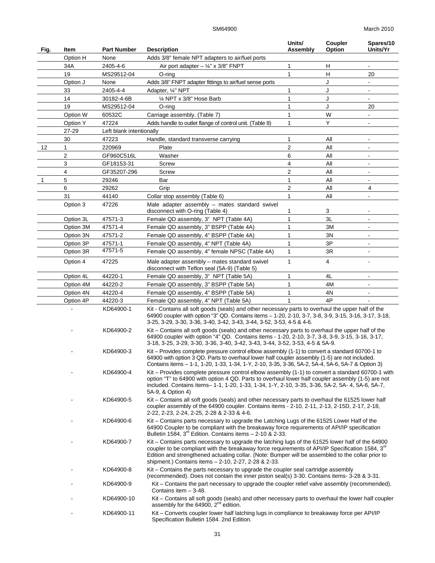| Fig.         | Item                    | <b>Part Number</b>       | <b>Description</b>                                                                                                                                                                                                                                                                                                                                                                        | Units/<br>Assembly | Coupler<br>Option | Spares/10<br>Units/Yr    |
|--------------|-------------------------|--------------------------|-------------------------------------------------------------------------------------------------------------------------------------------------------------------------------------------------------------------------------------------------------------------------------------------------------------------------------------------------------------------------------------------|--------------------|-------------------|--------------------------|
|              | Option H                | None                     | Adds 3/8" female NPT adapters to air/fuel ports                                                                                                                                                                                                                                                                                                                                           |                    |                   |                          |
|              | 34A                     | 2405-4-6                 | Air port adapter $-$ ¼" x 3/8" FNPT                                                                                                                                                                                                                                                                                                                                                       | 1                  | H                 |                          |
|              | 19                      | MS29512-04               | O-ring                                                                                                                                                                                                                                                                                                                                                                                    | $\mathbf{1}$       | H                 | 20                       |
|              | Option J                | None                     | Adds 3/8" FNPT adapter fittings to air/fuel sense ports                                                                                                                                                                                                                                                                                                                                   |                    | J                 |                          |
|              | 33                      | 2405-4-4                 | Adapter, 1/4" NPT                                                                                                                                                                                                                                                                                                                                                                         | 1                  | J                 | $\blacksquare$           |
|              | 14                      | 30182-4-6B               | 1/4 NPT x 3/8" Hose Barb                                                                                                                                                                                                                                                                                                                                                                  | 1                  | J                 | $\blacksquare$           |
|              | 19                      | MS29512-04               | $O$ -ring                                                                                                                                                                                                                                                                                                                                                                                 | 1                  | J                 | 20                       |
|              | Option W                | 60532C                   | Carriage assembly. (Table 7)                                                                                                                                                                                                                                                                                                                                                              | 1                  | W                 | $\blacksquare$           |
|              | Option Y                | 47224                    | Adds handle to outlet flange of control unit. (Table 8)                                                                                                                                                                                                                                                                                                                                   | 1                  | Y                 | $\blacksquare$           |
|              | 27-29                   | Left blank intentionally |                                                                                                                                                                                                                                                                                                                                                                                           |                    |                   |                          |
|              | 30                      | 47223                    |                                                                                                                                                                                                                                                                                                                                                                                           | 1                  | All               |                          |
|              |                         |                          | Handle, standard transverse carrying                                                                                                                                                                                                                                                                                                                                                      | $\overline{c}$     | All               |                          |
| 12           | 1                       | 220969                   | Plate                                                                                                                                                                                                                                                                                                                                                                                     |                    | All               |                          |
|              | $\overline{\mathbf{c}}$ | GF960C516L               | Washer                                                                                                                                                                                                                                                                                                                                                                                    | 6                  |                   |                          |
|              | 3                       | GF18153-31               | Screw                                                                                                                                                                                                                                                                                                                                                                                     | 4                  | All               |                          |
|              | 4                       | GF35207-296              | Screw                                                                                                                                                                                                                                                                                                                                                                                     | 2                  | All               |                          |
| $\mathbf{1}$ | 5                       | 29246                    | Bar                                                                                                                                                                                                                                                                                                                                                                                       | 1                  | All               | $\blacksquare$           |
|              | 6                       | 29262                    | Grip                                                                                                                                                                                                                                                                                                                                                                                      | 2                  | All               | 4                        |
|              | 31                      | 44140                    | Collar stop assembly (Table 6)                                                                                                                                                                                                                                                                                                                                                            | 1                  | All               | $\overline{a}$           |
|              | Option 3                | 47226                    | Male adapter assembly - mates standard swivel<br>disconnect with O-ring (Table 4)                                                                                                                                                                                                                                                                                                         | 1                  | 3                 |                          |
|              | Option 3L               | 47571-3                  | Female QD assembly, 3" NPT (Table 4A)                                                                                                                                                                                                                                                                                                                                                     | 1                  | 3L                |                          |
|              | Option 3M               | 47571-4                  | Female QD assembly, 3" BSPP (Table 4A)                                                                                                                                                                                                                                                                                                                                                    | 1                  | 3M                | L.                       |
|              | Option 3N               | 47571-2                  | Female QD assembly, 4" BSPP (Table 4A)                                                                                                                                                                                                                                                                                                                                                    | 1                  | 3N                | $\blacksquare$           |
|              | Option 3P               | 47571-1                  | Female QD assembly, 4" NPT (Table 4A)                                                                                                                                                                                                                                                                                                                                                     | 1                  | 3P                | $\overline{\phantom{a}}$ |
|              | Option 3R               | 47571-5                  | Female QD assembly, 4" female NPSC (Table 4A)                                                                                                                                                                                                                                                                                                                                             | 1                  | 3R                |                          |
|              | Option 4                | 47225                    | Male adapter assembly - mates standard swivel<br>disconnect with Teflon seal (5A-9) (Table 5)                                                                                                                                                                                                                                                                                             | 1                  | 4                 |                          |
|              | Option 4L               | 44220-1                  | Female QD assembly, 3" NPT (Table 5A)                                                                                                                                                                                                                                                                                                                                                     | 1                  | 4L                |                          |
|              | Option 4M               | 44220-2                  | Female QD assembly, 3" BSPP (Table 5A)                                                                                                                                                                                                                                                                                                                                                    | 1                  | 4M                |                          |
|              | Option 4N               | 44220-4                  | Female QD assembly, 4" BSPP (Table 5A)                                                                                                                                                                                                                                                                                                                                                    | 1                  | 4N                |                          |
|              | Option 4P               | 44220-3                  | Female QD assembly, 4" NPT (Table 5A)                                                                                                                                                                                                                                                                                                                                                     | 1                  | 4P                |                          |
|              |                         | KD64900-1<br>KD64900-2   | Kit - Contains all soft goods (seals) and other necessary parts to overhaul the upper half of the<br>64900 coupler with option "3" QD. Contains items - 1-20, 2-10, 3-7, 3-8, 3-9, 3-15, 3-16, 3-17, 3-18,<br>3-25, 3-29, 3-30, 3-36, 3-40, 3-42, 3-43, 3-44, 3-52, 3-53, 4-5 & 4-6.<br>Kit - Contains all soft goods (seals) and other necessary parts to overhaul the upper half of the |                    |                   |                          |
|              |                         |                          | 64900 coupler with option "4" QD. Contains items - 1-20, 2-10, 3-7, 3-8, 3-9, 3-15, 3-16, 3-17,<br>3-18, 3-25, 3-29, 3-30, 3-36, 3-40, 3-42, 3-43, 3-44, 3-52, 3-53, 4-5 & 5A-9.                                                                                                                                                                                                          |                    |                   |                          |
|              |                         | KD64900-3                | Kit - Provides complete pressure control elbow assembly (1-1) to convert a standard 60700-1 to<br>64900 with option 3 QD. Parts to overhaul lower half coupler assembly (1-5) are not included.<br>Contains items - 1-1, 1-20, 1-33, 1-34, 1-Y, 2-10, 3-35, 3-36, 5A-2, 5A-4, 5A-6, 5A-7 & Option 3)                                                                                      |                    |                   |                          |
|              |                         | KD64900-4                | Kit – Provides complete pressure control elbow assembly (1-1) to convert a standard 60700-1 with<br>option "T" to 64900 with option 4 QD. Parts to overhaul lower half coupler assembly (1-5) are not<br>included. Contains items- 1-1, 1-20, 1-33, 1-34, 1-Y, 2-10, 3-35, 3-36, 5A-2, 5A-4, 5A-6, 5A-7,<br>5A-9, & Option 4)                                                             |                    |                   |                          |
|              |                         | KD64900-5                | Kit - Contains all soft goods (seals) and other necessary parts to overhaul the 61525 lower half<br>coupler assembly of the 64900 coupler. Contains items - 2-10, 2-11, 2-13, 2-15D, 2-17, 2-18,<br>2-22, 2-23, 2-24, 2-25, 2-28 & 2-33 & 4-6.                                                                                                                                            |                    |                   |                          |
|              |                         | KD64900-6                | Kit – Contains parts necessary to upgrade the Latching Lugs of the 61525 Lower Half of the<br>64900 Coupler to be compliant with the breakaway force requirements of API/IP specification<br>Bulletin 1584, 3 <sup>rd</sup> Edition. Contains items - 2-10 & 2-33.                                                                                                                        |                    |                   |                          |
|              |                         | KD64900-7                | Kit – Contains parts necessary to upgrade the latching lugs of the 61525 lower half of the 64900<br>coupler to be compliant with the breakaway force requirements of API/IP Specification 1584, 3 <sup>rd</sup><br>Edition and strengthened actuating collar. (Note: Bumper will be assembled to the collar prior to<br>shipment.) Contains items - 2-10, 2-27, 2-28 & 2-33.              |                    |                   |                          |
|              |                         | KD64900-8                | Kit – Contains the parts necessary to upgrade the coupler seal cartridge assembly<br>(recommended). Does not contain the inner piston seal(s) 3-30. Contains items- 3-28 & 3-31.                                                                                                                                                                                                          |                    |                   |                          |
|              |                         | KD64900-9                | Kit – Contains the part necessary to upgrade the coupler relief valve assembly (recommended).<br>Contains item - 3-48.                                                                                                                                                                                                                                                                    |                    |                   |                          |
|              |                         | KD64900-10               | Kit – Contains all soft goods (seals) and other necessary parts to overhaul the lower half coupler<br>assembly for the 64900, 2 <sup>nd</sup> edition.                                                                                                                                                                                                                                    |                    |                   |                          |
|              |                         | KD64900-11               | Kit - Converts coupler lower half latching lugs in compliance to breakaway force per API/IP<br>Specification Bulletin 1584. 2nd Edition.                                                                                                                                                                                                                                                  |                    |                   |                          |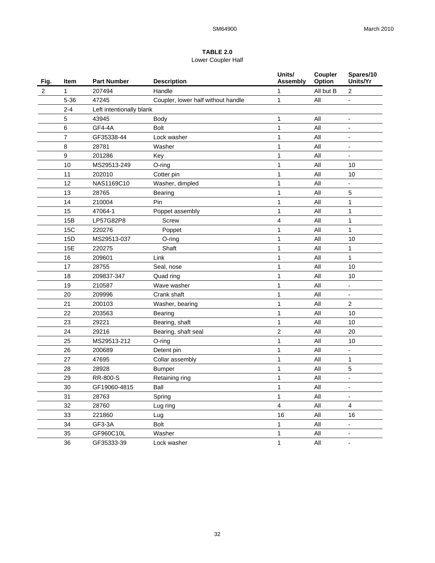## **TABLE 2.0**  Lower Coupler Half

| Fig.           | Item           | <b>Part Number</b>       | <b>Description</b>                 | Units/<br><b>Assembly</b> | Coupler<br>Option | Spares/10<br>Units/Yr    |
|----------------|----------------|--------------------------|------------------------------------|---------------------------|-------------------|--------------------------|
| $\overline{c}$ | 1              | 207494                   | Handle                             | 1                         | All but B         | $\overline{2}$           |
|                | $5 - 36$       | 47245                    | Coupler, lower half without handle | 1                         | All               |                          |
|                | $2 - 4$        | Left intentionally blank |                                    |                           |                   |                          |
|                | 5              | 43945                    | <b>Body</b>                        | 1                         | All               |                          |
|                | 6              | <b>GF4-4A</b>            | <b>Bolt</b>                        | 1                         | All               |                          |
|                | $\overline{7}$ | GF35338-44               | Lock washer                        | $\mathbf 1$               | All               | -                        |
|                | 8              | 28781                    | Washer                             | 1                         | All               | $\overline{\phantom{a}}$ |
|                | 9              | 201286                   | Key                                | 1                         | All               |                          |
|                | 10             | MS29513-249              | O-ring                             | 1                         | All               | 10                       |
|                | 11             | 202010                   | Cotter pin                         | 1                         | All               | 10                       |
|                | 12             | NAS1169C10               | Washer, dimpled                    | 1                         | All               |                          |
|                | 13             | 28765                    | Bearing                            | $\mathbf 1$               | All               | 5                        |
|                | 14             | 210004                   | Pin                                | 1                         | All               | 1                        |
|                | 15             | 47064-1                  | Poppet assembly                    | 1                         | All               | $\mathbf{1}$             |
|                | 15B            | LP57G82P8                | <b>Screw</b>                       | 4                         | All               | 1                        |
|                | <b>15C</b>     | 220276                   | Poppet                             | 1                         | All               | 1                        |
|                | 15D            | MS29513-037              | O-ring                             | 1                         | All               | 10                       |
|                | 15E            | 220275                   | Shaft                              | 1                         | All               | 1                        |
|                | 16             | 209601                   | Link                               | 1                         | All               | 1                        |
|                | 17             | 28755                    | Seal, nose                         | 1                         | All               | 10                       |
|                | 18             | 209837-347               | Quad ring                          | 1                         | All               | 10                       |
|                | 19             | 210587                   | Wave washer                        | 1                         | All               |                          |
|                | 20             | 209996                   | Crank shaft                        | 1                         | All               |                          |
|                | 21             | 200103                   | Washer, bearing                    | 1                         | All               | $\overline{2}$           |
|                | 22             | 203563                   | Bearing                            | $\mathbf{1}$              | All               | 10                       |
|                | 23             | 29221                    | Bearing, shaft                     | $\mathbf{1}$              | All               | 10                       |
|                | 24             | 29216                    | Bearing, shaft seal                | $\overline{\mathbf{c}}$   | All               | 20                       |
|                | 25             | MS29513-212              | O-ring                             | $\mathbf 1$               | All               | 10                       |
|                | 26             | 200689                   | Detent pin                         | 1                         | All               |                          |
|                | 27             | 47695                    | Collar assembly                    | 1                         | All               | 1                        |
|                | 28             | 28928                    | <b>Bumper</b>                      | 1                         | All               | 5                        |
|                | 29             | RR-800-S                 | Retaining ring                     | 1                         | All               |                          |
|                | 30             | GF19060-4815             | Ball                               | 1                         | All               | $\overline{a}$           |
|                | 31             | 28763                    | Spring                             | 1                         | $\mathsf{All}$    | $\overline{\phantom{a}}$ |
|                | 32             | 28760                    | Lug ring                           | $\overline{\mathbf{4}}$   | All               | 4                        |
|                | 33             | 221860                   | Lug                                | 16                        | All               | 16                       |
|                | 34             | GF3-3A                   | Bolt                               | 1                         | All               | $\overline{\phantom{a}}$ |
|                | 35             | GF960C10L                | Washer                             | 1                         | All               | -                        |
|                | 36             | GF35333-39               | Lock washer                        | $\mathbf{1}$              | $\mathsf{All}$    | $\overline{\phantom{a}}$ |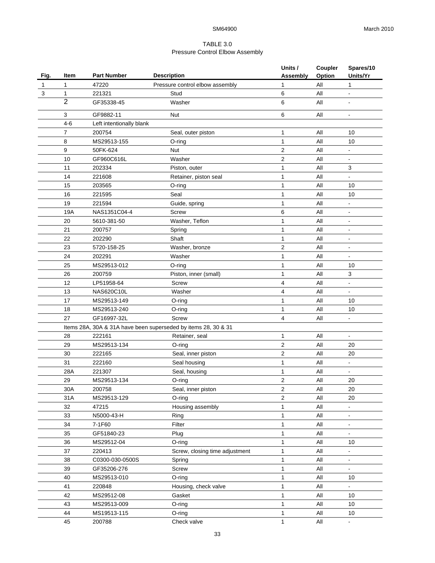## TABLE 3.0 Pressure Control Elbow Assembly

|              |                |                                                                |                                 | Units /         | Coupler        | Spares/10                    |  |  |  |
|--------------|----------------|----------------------------------------------------------------|---------------------------------|-----------------|----------------|------------------------------|--|--|--|
| Fig.         | Item           | <b>Part Number</b>                                             | <b>Description</b>              | <b>Assembly</b> | Option         | Units/Yr                     |  |  |  |
| $\mathbf{1}$ | 1              | 47220                                                          | Pressure control elbow assembly | 1               | All            | 1                            |  |  |  |
| 3            | 1              | 221321                                                         | Stud                            | 6               | All            | $\blacksquare$               |  |  |  |
|              | $\overline{2}$ | GF35338-45                                                     | Washer                          | 6               | All            | $\blacksquare$               |  |  |  |
|              | 3              | GF9882-11                                                      | <b>Nut</b>                      | 6               | All            | $\blacksquare$               |  |  |  |
|              | $4 - 6$        | Left intentionally blank                                       |                                 |                 |                |                              |  |  |  |
|              | $\overline{7}$ | 200754                                                         | Seal, outer piston              | 1               | All            | 10                           |  |  |  |
|              | 8              | MS29513-155                                                    | $O$ -ring                       | $\mathbf{1}$    | All            | 10                           |  |  |  |
|              | 9              | 50FK-624                                                       | Nut                             | 2               | All            |                              |  |  |  |
|              | 10             | GF960C616L                                                     | Washer                          | $\overline{2}$  | All            | $\blacksquare$               |  |  |  |
|              | 11             | 202334                                                         | Piston, outer                   | 1               | All            | 3                            |  |  |  |
|              | 14             | 221608                                                         | Retainer, piston seal           | 1               | All            |                              |  |  |  |
|              | 15             | 203565                                                         | O-ring                          | 1               | All            | 10                           |  |  |  |
|              | 16             | 221595                                                         | Seal                            | 1               | All            | 10                           |  |  |  |
|              | 19             | 221594                                                         | Guide, spring                   | 1               | All            | $\overline{a}$               |  |  |  |
|              | 19A            | NAS1351C04-4                                                   | Screw                           | 6               | All            | $\qquad \qquad \blacksquare$ |  |  |  |
|              | 20             | 5610-381-50                                                    | Washer, Teflon                  | 1               | All            | $\blacksquare$               |  |  |  |
|              | 21             | 200757                                                         | Spring                          | 1               | All            | $\blacksquare$               |  |  |  |
|              | 22             | 202290                                                         | Shaft                           | $\mathbf{1}$    | All            | $\overline{a}$               |  |  |  |
|              | 23             | 5720-158-25                                                    | Washer, bronze                  | $\overline{2}$  | All            | $\blacksquare$               |  |  |  |
|              | 24             | 202291                                                         | Washer                          | 1               | All            | ÷                            |  |  |  |
|              | 25             | MS29513-012                                                    | O-ring                          | 1               | All            | 10                           |  |  |  |
|              | 26             | 200759                                                         | Piston, inner (small)           | 1               | All            | 3                            |  |  |  |
|              | 12             | LP51958-64                                                     | <b>Screw</b>                    | 4               | All            |                              |  |  |  |
|              | 13             | NAS620C10L                                                     | Washer                          | 4               | All            |                              |  |  |  |
|              | 17             | MS29513-149                                                    | $O$ -ring                       | 1               | All            | 10                           |  |  |  |
|              | 18             | MS29513-240                                                    | O-ring                          | 1               | All            | 10                           |  |  |  |
|              | 27             | GF16997-32L                                                    | Screw                           | 4               | All            | $\blacksquare$               |  |  |  |
|              |                | Items 28A, 30A & 31A have been superseded by items 28, 30 & 31 |                                 |                 |                |                              |  |  |  |
|              | 28             | 222161                                                         | Retainer, seal                  | 1               | All            | $\frac{1}{2}$                |  |  |  |
|              | 29             | MS29513-134                                                    | O-ring                          | $\mathbf{2}$    | All            | 20                           |  |  |  |
|              | 30             | 222165                                                         | Seal, inner piston              | 2               | All            | 20                           |  |  |  |
|              | 31             | 222160                                                         | Seal housing                    | 1               | All            | $\blacksquare$               |  |  |  |
|              | 28A            | 221307                                                         | Seal, housing                   | 1               | All            |                              |  |  |  |
|              | 29             | MS29513-134                                                    | O-ring                          | 2               | All            | 20                           |  |  |  |
|              | 30A            | 200758                                                         | Seal, inner piston              | $\sqrt{2}$      | All            | 20                           |  |  |  |
|              | 31A            | MS29513-129                                                    | $O$ -ring                       | $\overline{2}$  | All            | 20                           |  |  |  |
|              | 32             | 47215                                                          | Housing assembly                | 1               | All            | ä,                           |  |  |  |
|              | 33             | N5000-43-H                                                     | Ring                            | 1               | All            | ÷,                           |  |  |  |
|              | 34             | 7-1F60                                                         | Filter                          | 1               | All            | ÷,                           |  |  |  |
|              | 35             | GF51840-23                                                     | Plug                            | 1               | $\mathsf{All}$ | $\blacksquare$               |  |  |  |
|              | 36             | MS29512-04                                                     | $O$ -ring                       | 1               | All            | 10                           |  |  |  |
|              | 37             | 220413                                                         | Screw, closing time adjustment  | 1               | All            | $\blacksquare$               |  |  |  |
|              | 38             | C0300-030-0500S                                                | Spring                          | 1               | All            | $\blacksquare$               |  |  |  |
|              | 39             | GF35206-276                                                    | Screw                           | $\mathbf{1}$    | All            | $\blacksquare$               |  |  |  |
|              | 40             | MS29513-010                                                    | O-ring                          | $\mathbf{1}$    | All            | 10                           |  |  |  |
|              | 41             | 220848                                                         | Housing, check valve            | 1               | All            | ÷.                           |  |  |  |
|              | 42             | MS29512-08                                                     | Gasket                          | $\mathbf{1}$    | All            | 10                           |  |  |  |
|              | 43             | MS29513-009                                                    | O-ring                          | 1               | All            | 10                           |  |  |  |
|              | 44             | MS19513-115                                                    | O-ring                          | 1               | All            | 10                           |  |  |  |
|              | 45             | 200788                                                         | Check valve                     | $\mathbf{1}$    | All            |                              |  |  |  |
|              |                |                                                                |                                 |                 |                |                              |  |  |  |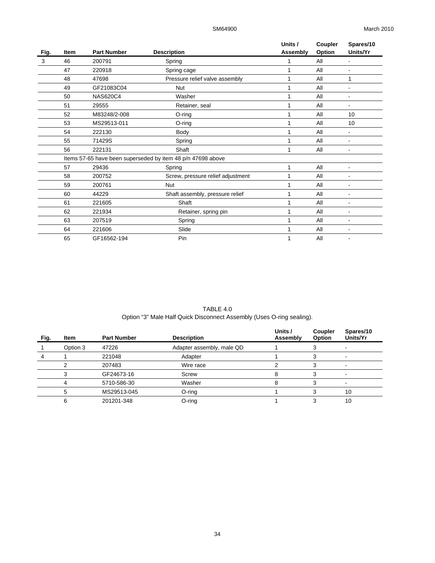|      |             |                    |                                                             | Units /  | Coupler | Spares/10      |
|------|-------------|--------------------|-------------------------------------------------------------|----------|---------|----------------|
| Fig. | <b>Item</b> | <b>Part Number</b> | <b>Description</b>                                          | Assembly | Option  | Units/Yr       |
| 3    | 46          | 200791             | Spring                                                      | 1        | All     |                |
|      | 47          | 220918             | Spring cage                                                 | 1        | All     | $\blacksquare$ |
|      | 48          | 47698              | Pressure relief valve assembly                              |          | All     | 1              |
|      | 49          | GF21083C04         | <b>Nut</b>                                                  | 1        | All     |                |
|      | 50          | <b>NAS620C4</b>    | Washer                                                      | 1        | All     | $\blacksquare$ |
|      | 51          | 29555              | Retainer, seal                                              |          | All     |                |
|      | 52          | M83248/2-008       | $O$ -ring                                                   | 1        | All     | 10             |
|      | 53          | MS29513-011        | O-ring                                                      | 1        | All     | 10             |
|      | 54          | 222130             | Body                                                        |          | All     |                |
|      | 55          | 71429S             | Spring                                                      | 1        | All     |                |
|      | 56          | 222131             | Shaft                                                       | 1        | All     | $\blacksquare$ |
|      |             |                    | Items 57-65 have been superseded by item 48 p/n 47698 above |          |         |                |
|      | 57          | 29436              | Spring                                                      | 1        | All     |                |
|      | 58          | 200752             | Screw, pressure relief adjustment                           | 1        | All     | $\blacksquare$ |
|      | 59          | 200761             | <b>Nut</b>                                                  | 1        | All     |                |
|      | 60          | 44229              | Shaft assembly, pressure relief                             | 1        | All     |                |
|      | 61          | 221605             | Shaft                                                       | 1        | All     | ٠              |
|      | 62          | 221934             | Retainer, spring pin                                        | 1        | All     |                |
|      | 63          | 207519             | Spring                                                      | 1        | All     |                |
|      | 64          | 221606             | Slide                                                       | 1        | All     |                |
|      | 65          | GF16562-194        | Pin                                                         |          | All     |                |

TABLE 4.0 Option "3" Male Half Quick Disconnect Assembly (Uses O-ring sealing).

| Fig. | <b>Item</b> | <b>Part Number</b> | <b>Description</b>        | Units /<br>Assembly | <b>Coupler</b><br>Option | Spares/10<br>Units/Yr |
|------|-------------|--------------------|---------------------------|---------------------|--------------------------|-----------------------|
|      | Option 3    | 47226              | Adapter assembly, male QD |                     |                          |                       |
|      |             | 221048             | Adapter                   |                     |                          |                       |
|      |             | 207483             | Wire race                 |                     | 3                        |                       |
|      |             | GF24673-16         | Screw                     |                     |                          |                       |
|      |             | 5710-586-30        | Washer                    |                     |                          |                       |
|      |             | MS29513-045        | $O$ -ring                 |                     |                          | 10                    |
|      | 6           | 201201-348         | $O$ -ring                 |                     | っ                        | 10                    |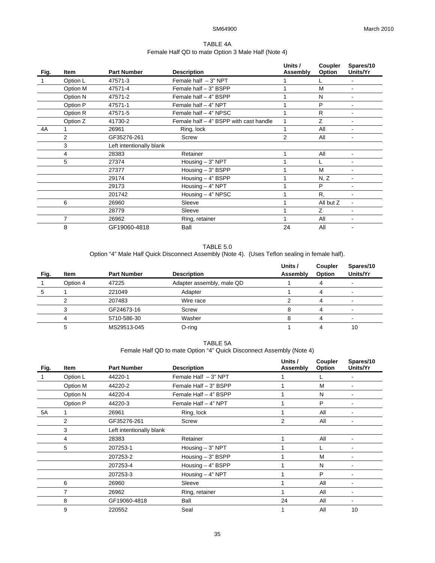## TABLE 4A Female Half QD to mate Option 3 Male Half (Note 4)

| Fig. | <b>Item</b>    | <b>Part Number</b>       | <b>Description</b>                     | Units /<br>Assembly | Coupler<br>Option | Spares/10<br>Units/Yr        |
|------|----------------|--------------------------|----------------------------------------|---------------------|-------------------|------------------------------|
| -1   | Option L       | 47571-3                  | Female half $-3$ " NPT                 |                     |                   | $\blacksquare$               |
|      | Option M       | 47571-4                  | Female half - 3" BSPP                  |                     | M                 |                              |
|      | Option N       | 47571-2                  | Female half - 4" BSPP                  |                     | N                 | ۰                            |
|      | Option P       | 47571-1                  | Female half - 4" NPT                   |                     | P                 | $\blacksquare$               |
|      | Option R       | 47571-5                  | Female half - 4" NPSC                  |                     | R                 | $\blacksquare$               |
|      | Option Z       | 41730-2                  | Female half - 4" BSPP with cast handle | 1                   | Z                 | $\overline{\phantom{a}}$     |
| 4A   |                | 26961                    | Ring, lock                             |                     | All               |                              |
|      | $\overline{2}$ | GF35276-261              | Screw                                  | $\overline{2}$      | All               |                              |
|      | 3              | Left intentionally blank |                                        |                     |                   |                              |
|      | 4              | 28383                    | Retainer                               |                     | All               | $\blacksquare$               |
|      | 5              | 27374                    | Housing $-3$ " NPT                     |                     |                   | $\qquad \qquad \blacksquare$ |
|      |                | 27377                    | Housing - 3" BSPP                      |                     | M                 | $\blacksquare$               |
|      |                | 29174                    | Housing - 4" BSPP                      |                     | N, Z              |                              |
|      |                | 29173                    | Housing - 4" NPT                       |                     | P                 | ۰                            |
|      |                | 201742                   | Housing - 4" NPSC                      |                     | R.                | $\blacksquare$               |
|      | 6              | 26960                    | Sleeve                                 |                     | All but Z         | $\blacksquare$               |
|      |                | 28779                    | Sleeve                                 |                     | Z                 | ۰                            |
|      | 7              | 26962                    | Ring, retainer                         |                     | All               |                              |
|      | 8              | GF19060-4818             | Ball                                   | 24                  | All               |                              |

TABLE 5.0

Option "4" Male Half Quick Disconnect Assembly (Note 4). (Uses Teflon sealing in female half).

| Fig. | <b>Item</b> | <b>Part Number</b> | <b>Description</b>        | Units /<br>Assembly | Coupler<br>Option | Spares/10<br>Units/Yr    |
|------|-------------|--------------------|---------------------------|---------------------|-------------------|--------------------------|
|      | Option 4    | 47225              | Adapter assembly, male QD |                     |                   |                          |
| 5    |             | 221049             | Adapter                   |                     |                   |                          |
|      |             | 207483             | Wire race                 |                     |                   |                          |
|      |             | GF24673-16         | Screw                     |                     |                   | $\overline{\phantom{0}}$ |
|      |             | 5710-586-30        | Washer                    | 8                   |                   |                          |
|      |             | MS29513-045        | $O$ -ring                 |                     |                   | 10                       |

TABLE 5A Female Half QD to mate Option "4" Quick Disconnect Assembly (Note 4)

| Fig. | Item     | <b>Part Number</b>       | <b>Description</b>     | Units /<br>Assembly | Coupler<br>Option | Spares/10<br>Units/Yr        |
|------|----------|--------------------------|------------------------|---------------------|-------------------|------------------------------|
|      | Option L | 44220-1                  | Female Half $-3$ " NPT |                     |                   |                              |
|      | Option M | 44220-2                  | Female Half - 3" BSPP  |                     | M                 |                              |
|      | Option N | 44220-4                  | Female Half - 4" BSPP  |                     | N                 |                              |
|      | Option P | 44220-3                  | Female Half - 4" NPT   |                     | P                 |                              |
| 5A   |          | 26961                    | Ring, lock             |                     | All               | ٠                            |
|      | 2        | GF35276-261              | Screw                  | 2                   | All               | $\qquad \qquad \blacksquare$ |
|      | 3        | Left intentionally blank |                        |                     |                   |                              |
|      | 4        | 28383                    | Retainer               |                     | All               |                              |
|      | 5        | 207253-1                 | Housing $-3$ " NPT     |                     |                   |                              |
|      |          | 207253-2                 | Housing $-3$ " BSPP    |                     | M                 |                              |
|      |          | 207253-4                 | Housing - 4" BSPP      |                     | N                 |                              |
|      |          | 207253-3                 | Housing $-4$ " NPT     |                     | P                 |                              |
|      | 6        | 26960                    | Sleeve                 |                     | All               |                              |
|      | 7        | 26962                    | Ring, retainer         |                     | All               |                              |
|      | 8        | GF19060-4818             | Ball                   | 24                  | All               |                              |
|      | 9        | 220552                   | Seal                   |                     | All               | 10                           |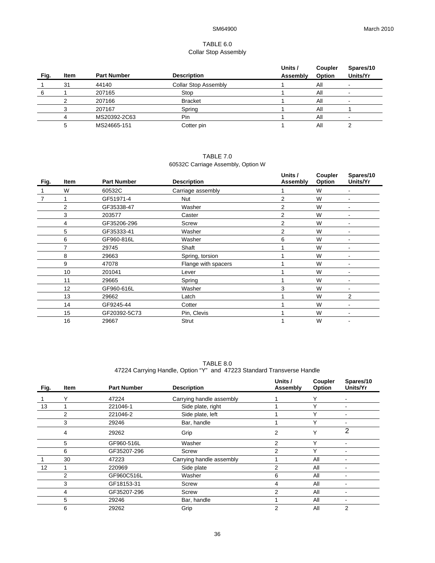## TABLE 6.0 Collar Stop Assembly

| Fig. | <b>Item</b> | <b>Part Number</b> | <b>Description</b>          | Units /<br>Assembly | Coupler<br>Option | Spares/10<br>Units/Yr |
|------|-------------|--------------------|-----------------------------|---------------------|-------------------|-----------------------|
|      | 31          | 44140              | <b>Collar Stop Assembly</b> |                     | All               |                       |
|      |             | 207165             | Stop                        |                     | All               | -                     |
|      |             | 207166             | <b>Bracket</b>              |                     | All               | ۰                     |
|      |             | 207167             | Spring                      |                     | All               |                       |
|      |             | MS20392-2C63       | Pin                         |                     | All               |                       |
|      |             | MS24665-151        | Cotter pin                  |                     | All               |                       |

## TABLE 7.0 60532C Carriage Assembly, Option W

| <b>Item</b>    | <b>Part Number</b> |                     | Units /<br>Assembly                     | Coupler<br>Option | Spares/10<br>Units/Yr |
|----------------|--------------------|---------------------|-----------------------------------------|-------------------|-----------------------|
| W              | 60532C             |                     |                                         | W                 | ۰                     |
|                | GF51971-4          | Nut                 | 2                                       | W                 |                       |
| $\overline{2}$ | GF35338-47         | Washer              | 2                                       | W                 |                       |
| 3              | 203577             | Caster              | $\overline{2}$                          | W                 |                       |
| 4              | GF35206-296        | Screw               | 2                                       | W                 |                       |
| 5              | GF35333-41         | Washer              | $\mathfrak{p}$                          | W                 |                       |
| 6              | GF960-816L         | Washer              | 6                                       | W                 |                       |
| 7              | 29745              | Shaft               |                                         | W                 |                       |
| 8              | 29663              | Spring, torsion     |                                         | W                 |                       |
| 9              | 47078              | Flange with spacers |                                         | W                 |                       |
| 10             | 201041             | Lever               |                                         | W                 |                       |
| 11             | 29665              | Spring              |                                         | W                 |                       |
| 12             | GF960-616L         | Washer              | 3                                       | W                 |                       |
| 13             | 29662              | Latch               |                                         | W                 | 2                     |
| 14             | GF9245-44          | Cotter              |                                         | W                 |                       |
| 15             | GF20392-5C73       | Pin, Clevis         |                                         | W                 |                       |
| 16             | 29667              | <b>Strut</b>        |                                         | W                 |                       |
|                |                    |                     | <b>Description</b><br>Carriage assembly |                   |                       |

TABLE 8.0 47224 Carrying Handle, Option "Y" and 47223 Standard Transverse Handle

| Fig.              | <b>Item</b> | <b>Part Number</b> | <b>Description</b>       | Units /<br>Assembly | Coupler<br>Option | Spares/10<br>Units/Yr |
|-------------------|-------------|--------------------|--------------------------|---------------------|-------------------|-----------------------|
|                   | Υ           | 47224              | Carrying handle assembly |                     | $\check{ }$       |                       |
| 13                |             | 221046-1           | Side plate, right        |                     | $\check{ }$       |                       |
|                   | 2           | 221046-2           | Side plate, left         |                     | $\check{ }$       |                       |
|                   | 3           | 29246              | Bar, handle              |                     | Υ                 | ۰                     |
|                   | 4           | 29262              | Grip                     | 2                   | $\check{ }$       | 2                     |
|                   | 5           | GF960-516L         | Washer                   | 2                   | $\checkmark$      |                       |
|                   | 6           | GF35207-296        | Screw                    | 2                   | $\check{ }$       |                       |
|                   | 30          | 47223              | Carrying handle assembly |                     | All               |                       |
| $12 \overline{ }$ |             | 220969             | Side plate               | 2                   | All               |                       |
|                   | 2           | GF960C516L         | Washer                   | 6                   | All               | ۰                     |
|                   | 3           | GF18153-31         | Screw                    | 4                   | All               |                       |
|                   | 4           | GF35207-296        | Screw                    | 2                   | All               |                       |
|                   | 5           | 29246              | Bar, handle              |                     | All               |                       |
|                   | 6           | 29262              | Grip                     | 2                   | All               | $\overline{2}$        |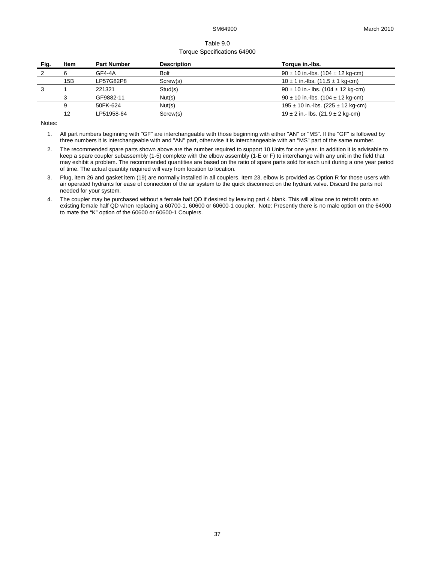## Table 9.0 Torque Specifications 64900

| Fig. | Item | <b>Part Number</b> | <b>Description</b> | Torque in.-Ibs.                            |
|------|------|--------------------|--------------------|--------------------------------------------|
|      |      | GF4-4A             | <b>Bolt</b>        | $90 \pm 10$ in.-lbs. (104 $\pm$ 12 kg-cm)  |
|      | 15B  | LP57G82P8          | Screw(s)           | $10 \pm 1$ in.-lbs. (11.5 $\pm$ 1 kg-cm)   |
|      |      | 221321             | Stud(s)            | $90 \pm 10$ in.- lbs. (104 $\pm$ 12 kg-cm) |
|      |      | GF9882-11          | Nut(s)             | $90 \pm 10$ in.-lbs. (104 $\pm$ 12 kg-cm)  |
|      | 9    | 50FK-624           | Nut(s)             | $195 \pm 10$ in.-lbs. (225 $\pm$ 12 kg-cm) |
|      | 12   | LP51958-64         | Screw(s)           | $19 \pm 2$ in.- lbs. (21.9 $\pm$ 2 kg-cm)  |

Notes:

<sup>1.</sup> All part numbers beginning with "GF" are interchangeable with those beginning with either "AN" or "MS". If the "GF" is followed by three numbers it is interchangeable with and "AN" part, otherwise it is interchangeable with an "MS" part of the same number.

<sup>2.</sup> The recommended spare parts shown above are the number required to support 10 Units for one year. In addition it is advisable to keep a spare coupler subassembly (1-5) complete with the elbow assembly (1-E or F) to interchange with any unit in the field that may exhibit a problem. The recommended quantities are based on the ratio of spare parts sold for each unit during a one year period of time. The actual quantity required will vary from location to location.

<sup>3.</sup> Plug, item 26 and gasket item (19) are normally installed in all couplers. Item 23, elbow is provided as Option R for those users with air operated hydrants for ease of connection of the air system to the quick disconnect on the hydrant valve. Discard the parts not needed for your system.

<sup>4.</sup> The coupler may be purchased without a female half QD if desired by leaving part 4 blank. This will allow one to retrofit onto an existing female half QD when replacing a 60700-1, 60600 or 60600-1 coupler. Note: Presently there is no male option on the 64900 to mate the "K" option of the 60600 or 60600-1 Couplers.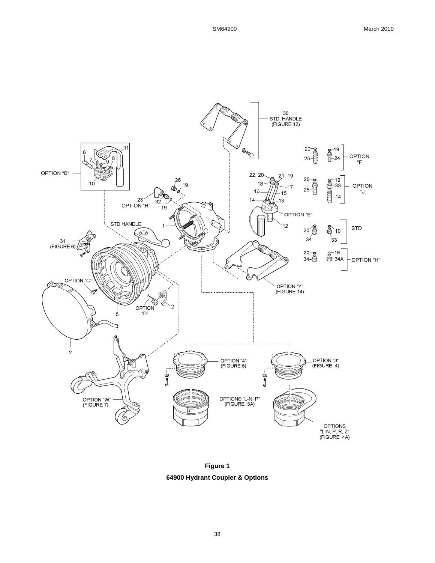

**Figure 1 64900 Hydrant Coupler & Options**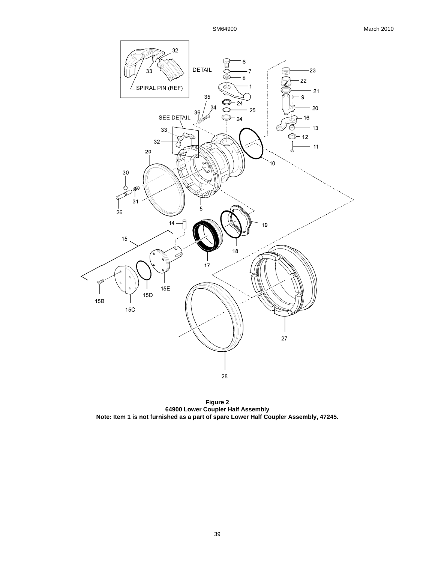

**Figure 2 64900 Lower Coupler Half Assembly Note: Item 1 is not furnished as a part of spare Lower Half Coupler Assembly, 47245.**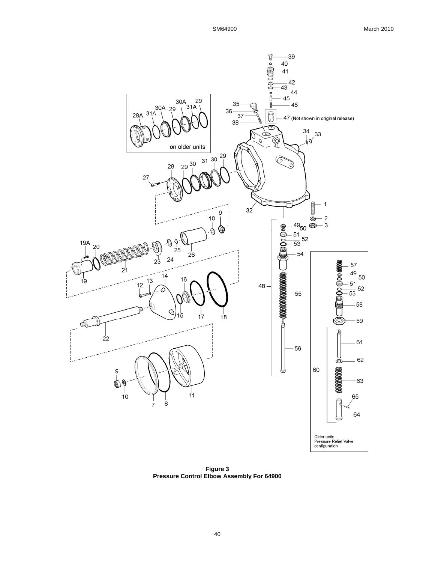

**Figure 3 Pressure Control Elbow Assembly For 64900**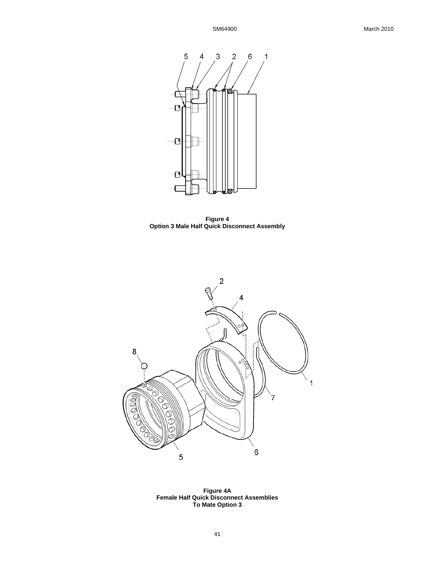

**Figure 4 Option 3 Male Half Quick Disconnect Assembly** 



**Figure 4A Female Half Quick Disconnect Assemblies To Mate Option 3**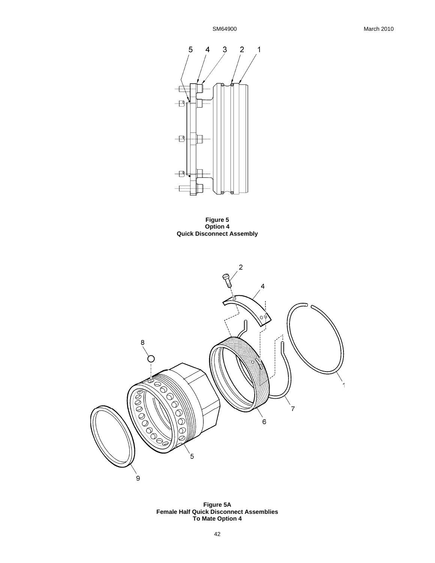

**Figure 5 Option 4 Quick Disconnect Assembly** 



**Figure 5A Female Half Quick Disconnect Assemblies To Mate Option 4**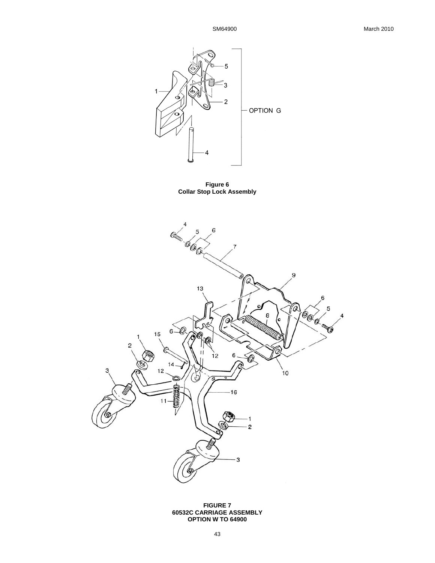

**Figure 6 Collar Stop Lock Assembly** 



**FIGURE 7 60532C CARRIAGE ASSEMBLY OPTION W TO 64900**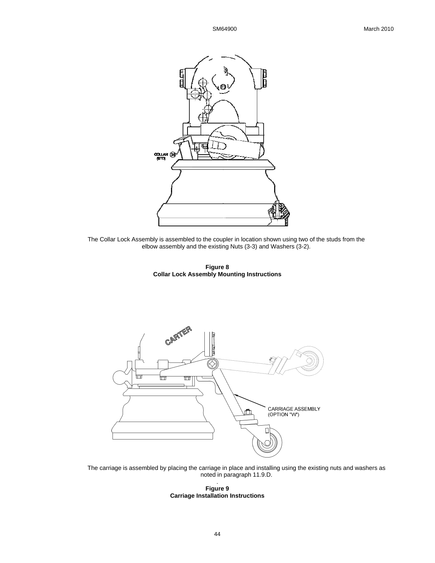

The Collar Lock Assembly is assembled to the coupler in location shown using two of the studs from the elbow assembly and the existing Nuts (3-3) and Washers (3-2).

**Figure 8 Collar Lock Assembly Mounting Instructions**



The carriage is assembled by placing the carriage in place and installing using the existing nuts and washers as noted in paragraph 11.9.D.

. **Figure 9 Carriage Installation Instructions**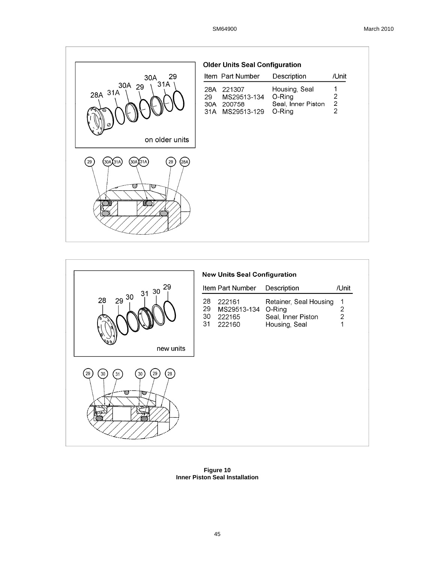|                                                                  | <b>Older Units Seal Configuration</b>                               |                                                         |                                                         |
|------------------------------------------------------------------|---------------------------------------------------------------------|---------------------------------------------------------|---------------------------------------------------------|
| 29<br>30A                                                        | Item Part Number                                                    | Description                                             | /Unit                                                   |
| 31A<br>30A 29<br>28A 31A<br>⊝                                    | 28A 221307<br>29<br>MS29513-134<br>200758<br>30A<br>31A MS29513-129 | Housing, Seal<br>O-Ring<br>Seal, Inner Piston<br>O-Ring | 1<br>$\overline{2}$<br>$\overline{c}$<br>$\overline{2}$ |
| on older units                                                   |                                                                     |                                                         |                                                         |
| (28A)<br>29<br>(30A)(31A)<br>29<br>30A 31A<br>$\varnothing$<br>∞ |                                                                     |                                                         |                                                         |



**Figure 10 Inner Piston Seal Installation**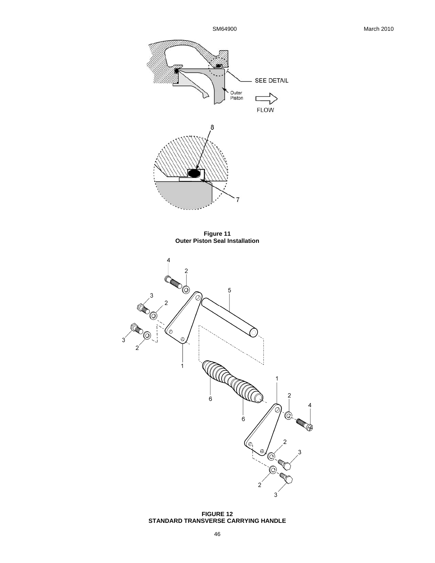

**FIGURE 12 STANDARD TRANSVERSE CARRYING HANDLE**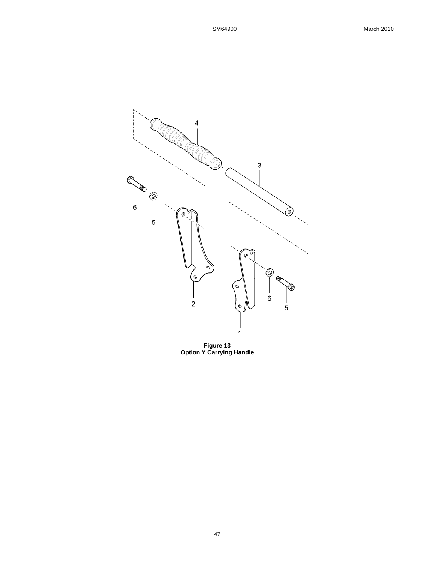

**Figure 13 Option Y Carrying Handle**